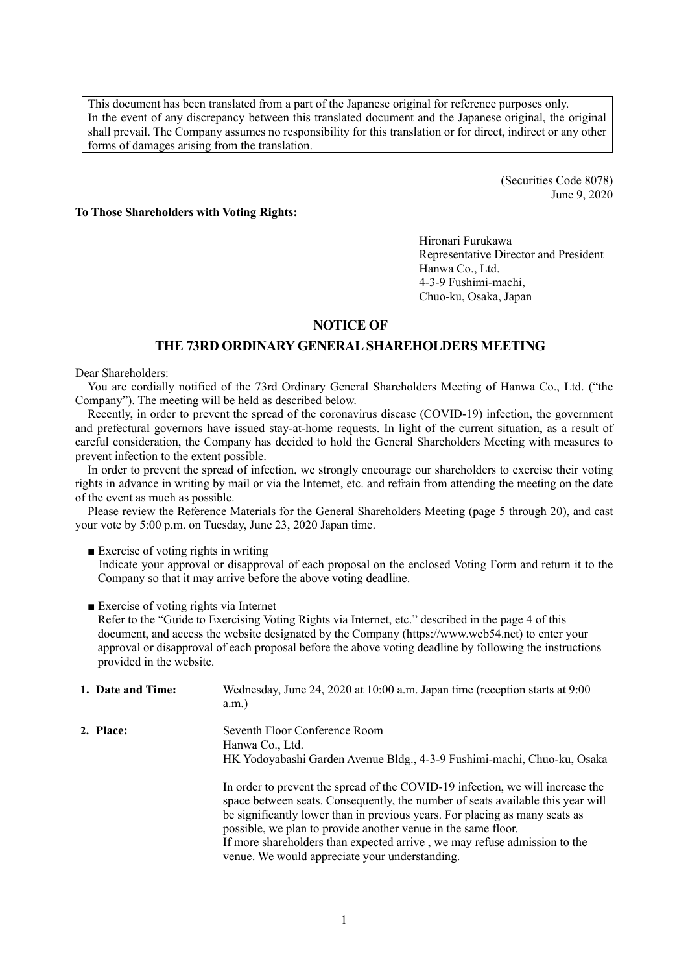This document has been translated from a part of the Japanese original for reference purposes only. In the event of any discrepancy between this translated document and the Japanese original, the original shall prevail. The Company assumes no responsibility for this translation or for direct, indirect or any other forms of damages arising from the translation.

> (Securities Code 8078) June 9, 2020

**To Those Shareholders with Voting Rights:**

Hironari Furukawa Representative Director and President Hanwa Co., Ltd. 4-3-9 Fushimi-machi, Chuo-ku, Osaka, Japan

## **NOTICE OF**

## **THE 73RD ORDINARY GENERALSHAREHOLDERS MEETING**

Dear Shareholders:

You are cordially notified of the 73rd Ordinary General Shareholders Meeting of Hanwa Co., Ltd. ("the Company"). The meeting will be held as described below.

Recently, in order to prevent the spread of the coronavirus disease (COVID-19) infection, the government and prefectural governors have issued stay-at-home requests. In light of the current situation, as a result of careful consideration, the Company has decided to hold the General Shareholders Meeting with measures to prevent infection to the extent possible.

In order to prevent the spread of infection, we strongly encourage our shareholders to exercise their voting rights in advance in writing by mail or via the Internet, etc. and refrain from attending the meeting on the date of the event as much as possible.

Please review the Reference Materials for the General Shareholders Meeting (page 5 through 20), and cast your vote by 5:00 p.m. on Tuesday, June 23, 2020 Japan time.

■ Exercise of voting rights in writing

Indicate your approval or disapproval of each proposal on the enclosed Voting Form and return it to the Company so that it may arrive before the above voting deadline.

■ Exercise of voting rights via Internet

Refer to the "Guide to Exercising Voting Rights via Internet, etc." described in the page 4 of this document, and access the website designated by the Company (https://www.web54.net) to enter your approval or disapproval of each proposal before the above voting deadline by following the instructions provided in the website.

| 1. Date and Time: | Wednesday, June 24, 2020 at 10:00 a.m. Japan time (reception starts at 9:00<br>$a.m.$ )                                                                                                                                                                                                                                                                                                                                                          |
|-------------------|--------------------------------------------------------------------------------------------------------------------------------------------------------------------------------------------------------------------------------------------------------------------------------------------------------------------------------------------------------------------------------------------------------------------------------------------------|
| 2. Place:         | Seventh Floor Conference Room<br>Hanwa Co., Ltd.<br>HK Yodoyabashi Garden Avenue Bldg., 4-3-9 Fushimi-machi, Chuo-ku, Osaka                                                                                                                                                                                                                                                                                                                      |
|                   | In order to prevent the spread of the COVID-19 infection, we will increase the<br>space between seats. Consequently, the number of seats available this year will<br>be significantly lower than in previous years. For placing as many seats as<br>possible, we plan to provide another venue in the same floor.<br>If more shareholders than expected arrive, we may refuse admission to the<br>venue. We would appreciate your understanding. |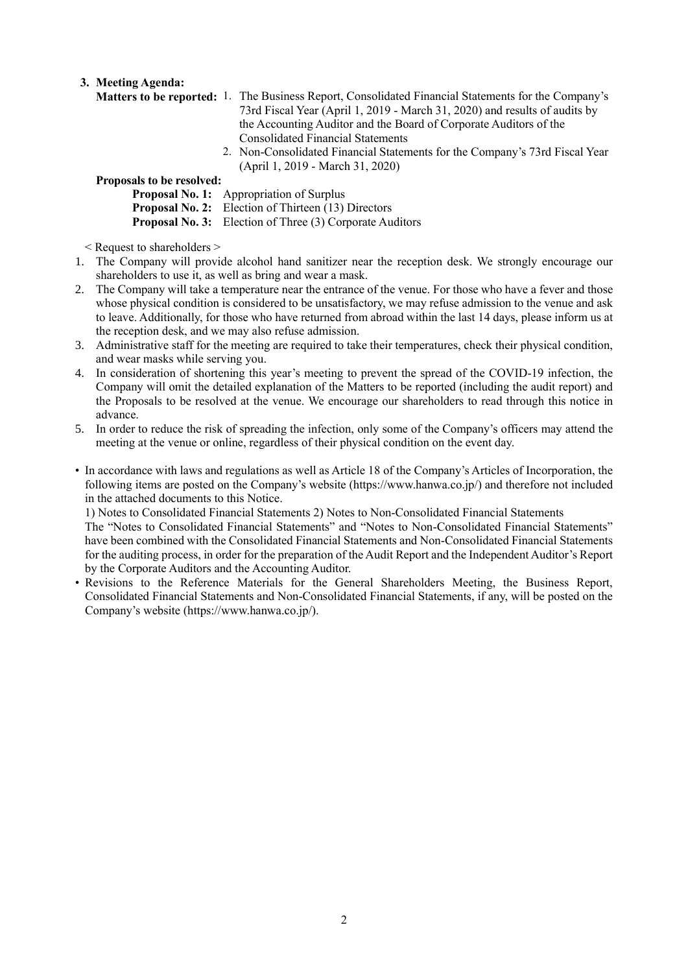## **3. Meeting Agenda:**

- **Matters to be reported:** 1. The Business Report, Consolidated Financial Statements for the Company's 73rd Fiscal Year (April 1, 2019 - March 31, 2020) and results of audits by the Accounting Auditor and the Board of Corporate Auditors of the Consolidated Financial Statements
	- 2. Non-Consolidated Financial Statements for the Company's 73rd Fiscal Year (April 1, 2019 - March 31, 2020)

## **Proposals to be resolved:**

**Proposal No. 1:** Appropriation of Surplus

**Proposal No. 2:** Election of Thirteen (13) Directors

**Proposal No. 3:** Election of Three (3) Corporate Auditors

< Request to shareholders >

- 1. The Company will provide alcohol hand sanitizer near the reception desk. We strongly encourage our shareholders to use it, as well as bring and wear a mask.
- 2. The Company will take a temperature near the entrance of the venue. For those who have a fever and those whose physical condition is considered to be unsatisfactory, we may refuse admission to the venue and ask to leave. Additionally, for those who have returned from abroad within the last 14 days, please inform us at the reception desk, and we may also refuse admission.
- 3. Administrative staff for the meeting are required to take their temperatures, check their physical condition, and wear masks while serving you.
- 4. In consideration of shortening this year's meeting to prevent the spread of the COVID-19 infection, the Company will omit the detailed explanation of the Matters to be reported (including the audit report) and the Proposals to be resolved at the venue. We encourage our shareholders to read through this notice in advance.
- 5. In order to reduce the risk of spreading the infection, only some of the Company's officers may attend the meeting at the venue or online, regardless of their physical condition on the event day.
- In accordance with laws and regulations as well as Article 18 of the Company's Articles of Incorporation, the following items are posted on the Company's website (https://www.hanwa.co.jp/) and therefore not included in the attached documents to this Notice.

1) Notes to Consolidated Financial Statements 2) Notes to Non-Consolidated Financial Statements

The "Notes to Consolidated Financial Statements" and "Notes to Non-Consolidated Financial Statements" have been combined with the Consolidated Financial Statements and Non-Consolidated Financial Statements for the auditing process, in order for the preparation of the Audit Report and the Independent Auditor's Report by the Corporate Auditors and the Accounting Auditor.

• Revisions to the Reference Materials for the General Shareholders Meeting, the Business Report, Consolidated Financial Statements and Non-Consolidated Financial Statements, if any, will be posted on the Company's website (https://www.hanwa.co.jp/).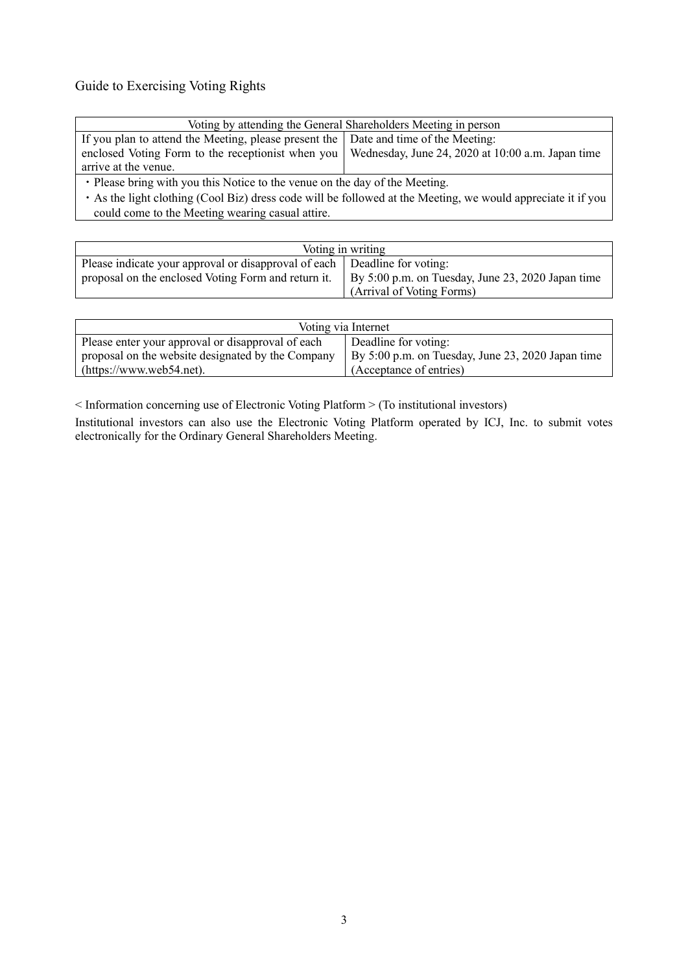# Guide to Exercising Voting Rights

| Voting by attending the General Shareholders Meeting in person                                            |  |  |  |  |
|-----------------------------------------------------------------------------------------------------------|--|--|--|--|
| If you plan to attend the Meeting, please present the   Date and time of the Meeting:                     |  |  |  |  |
| enclosed Voting Form to the receptionist when you   Wednesday, June 24, 2020 at 10:00 a.m. Japan time     |  |  |  |  |
| arrive at the venue.                                                                                      |  |  |  |  |
| • Please bring with you this Notice to the venue on the day of the Meeting.                               |  |  |  |  |
| . Ag the light elething (Cool Dig) dress ande will be followed at the Meeting we would envenish it if you |  |  |  |  |

As the light clothing (Cool Biz) dress code will be followed at the Meeting, we would appreciate it if you could come to the Meeting wearing casual attire.

|                                                                             | Voting in writing                                 |
|-----------------------------------------------------------------------------|---------------------------------------------------|
| Please indicate your approval or disapproval of each   Deadline for voting: |                                                   |
| proposal on the enclosed Voting Form and return it.                         | By 5:00 p.m. on Tuesday, June 23, 2020 Japan time |
|                                                                             | (Arrival of Voting Forms)                         |

| Voting via Internet                               |                                                   |  |  |  |
|---------------------------------------------------|---------------------------------------------------|--|--|--|
| Please enter your approval or disapproval of each | Deadline for voting:                              |  |  |  |
| proposal on the website designated by the Company | By 5:00 p.m. on Tuesday, June 23, 2020 Japan time |  |  |  |
| (htips://www.web54.net).                          | (Acceptance of entries)                           |  |  |  |

< Information concerning use of Electronic Voting Platform > (To institutional investors)

Institutional investors can also use the Electronic Voting Platform operated by ICJ, Inc. to submit votes electronically for the Ordinary General Shareholders Meeting.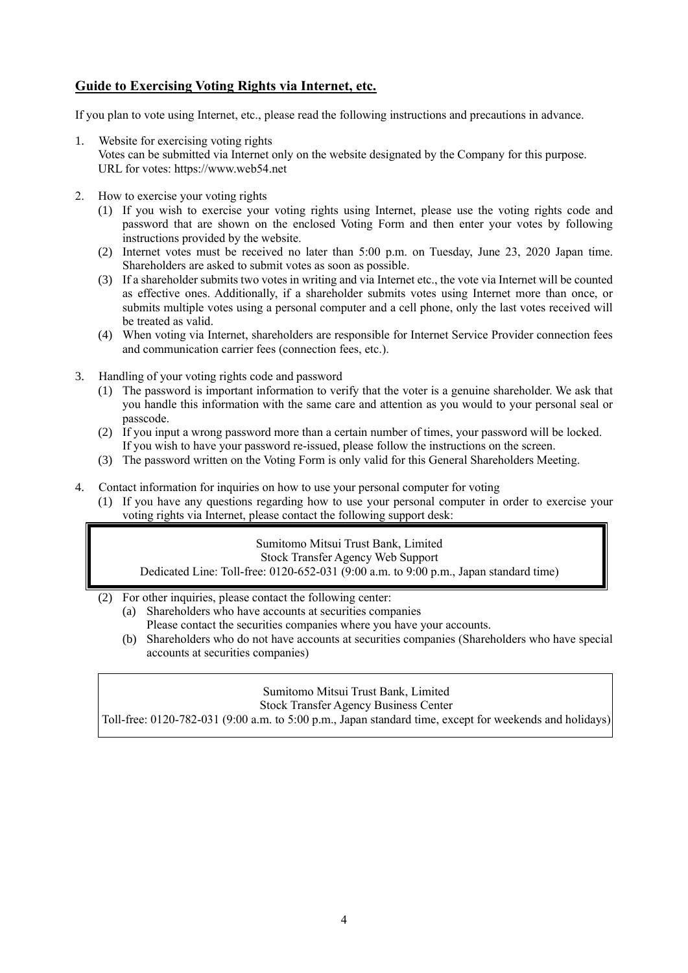# **Guide to Exercising Voting Rights via Internet, etc.**

If you plan to vote using Internet, etc., please read the following instructions and precautions in advance.

- 1. Website for exercising voting rights
	- Votes can be submitted via Internet only on the website designated by the Company for this purpose. URL for votes: https://www.web54.net
- 2. How to exercise your voting rights
	- (1) If you wish to exercise your voting rights using Internet, please use the voting rights code and password that are shown on the enclosed Voting Form and then enter your votes by following instructions provided by the website.
	- (2) Internet votes must be received no later than 5:00 p.m. on Tuesday, June 23, 2020 Japan time. Shareholders are asked to submit votes as soon as possible.
	- (3) If a shareholder submits two votes in writing and via Internet etc., the vote via Internet will be counted as effective ones. Additionally, if a shareholder submits votes using Internet more than once, or submits multiple votes using a personal computer and a cell phone, only the last votes received will be treated as valid.
	- (4) When voting via Internet, shareholders are responsible for Internet Service Provider connection fees and communication carrier fees (connection fees, etc.).
- 3. Handling of your voting rights code and password
	- (1) The password is important information to verify that the voter is a genuine shareholder. We ask that you handle this information with the same care and attention as you would to your personal seal or passcode.
	- (2) If you input a wrong password more than a certain number of times, your password will be locked. If you wish to have your password re-issued, please follow the instructions on the screen.
	- (3) The password written on the Voting Form is only valid for this General Shareholders Meeting.
- 4. Contact information for inquiries on how to use your personal computer for voting
	- (1) If you have any questions regarding how to use your personal computer in order to exercise your voting rights via Internet, please contact the following support desk:

Sumitomo Mitsui Trust Bank, Limited Stock Transfer Agency Web Support Dedicated Line: Toll-free: 0120-652-031 (9:00 a.m. to 9:00 p.m., Japan standard time)

- (2) For other inquiries, please contact the following center:
	- (a) Shareholders who have accounts at securities companies Please contact the securities companies where you have your accounts.
	- (b) Shareholders who do not have accounts at securities companies (Shareholders who have special accounts at securities companies)

Sumitomo Mitsui Trust Bank, Limited

Stock Transfer Agency Business Center

Toll-free: 0120-782-031 (9:00 a.m. to 5:00 p.m., Japan standard time, except for weekends and holidays)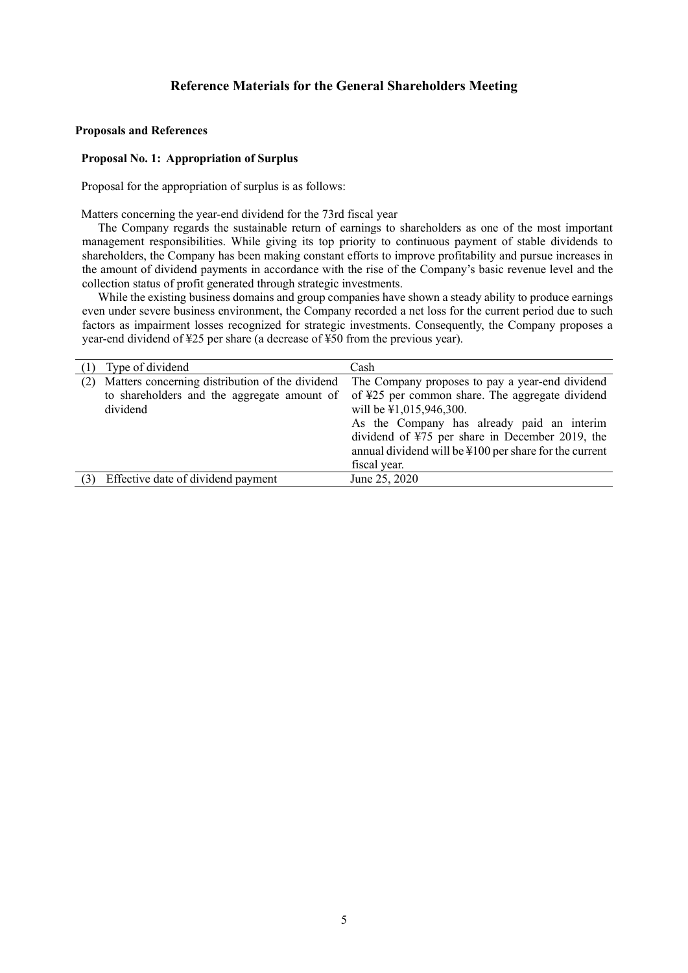#### **Proposals and References**

#### **Proposal No. 1: Appropriation of Surplus**

Proposal for the appropriation of surplus is as follows:

Matters concerning the year-end dividend for the 73rd fiscal year

The Company regards the sustainable return of earnings to shareholders as one of the most important management responsibilities. While giving its top priority to continuous payment of stable dividends to shareholders, the Company has been making constant efforts to improve profitability and pursue increases in the amount of dividend payments in accordance with the rise of the Company's basic revenue level and the collection status of profit generated through strategic investments.

While the existing business domains and group companies have shown a steady ability to produce earnings even under severe business environment, the Company recorded a net loss for the current period due to such factors as impairment losses recognized for strategic investments. Consequently, the Company proposes a year-end dividend of ¥25 per share (a decrease of ¥50 from the previous year).

|     | Type of dividend                                                                                           | Cash                                                                                                                                                                                                                             |
|-----|------------------------------------------------------------------------------------------------------------|----------------------------------------------------------------------------------------------------------------------------------------------------------------------------------------------------------------------------------|
| (2) | Matters concerning distribution of the dividend<br>to shareholders and the aggregate amount of<br>dividend | The Company proposes to pay a year-end dividend<br>of ¥25 per common share. The aggregate dividend<br>will be \\$1,015,946,300.<br>As the Company has already paid an interim<br>dividend of ¥75 per share in December 2019, the |
|     |                                                                                                            | annual dividend will be ¥100 per share for the current<br>fiscal year.                                                                                                                                                           |
|     |                                                                                                            |                                                                                                                                                                                                                                  |
|     | Effective date of dividend payment                                                                         | June 25, 2020                                                                                                                                                                                                                    |
|     |                                                                                                            |                                                                                                                                                                                                                                  |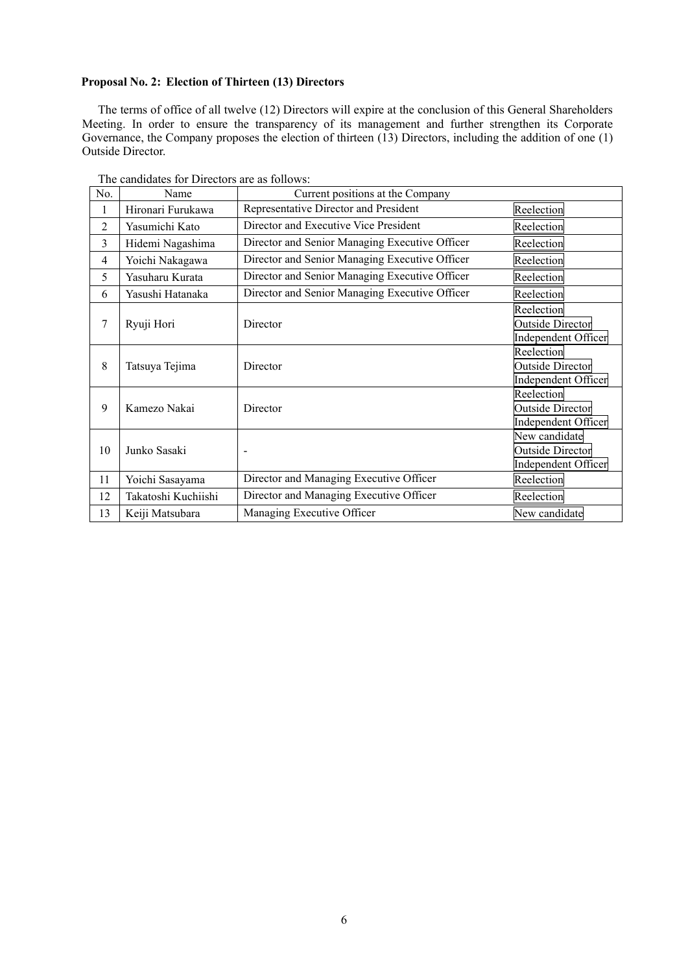## **Proposal No. 2: Election of Thirteen (13) Directors**

The terms of office of all twelve (12) Directors will expire at the conclusion of this General Shareholders Meeting. In order to ensure the transparency of its management and further strengthen its Corporate Governance, the Company proposes the election of thirteen (13) Directors, including the addition of one (1) Outside Director.

| No.            | Name                | Current positions at the Company               |                                                                 |
|----------------|---------------------|------------------------------------------------|-----------------------------------------------------------------|
| 1              | Hironari Furukawa   | Representative Director and President          | Reelection                                                      |
| $\overline{2}$ | Yasumichi Kato      | Director and Executive Vice President          | Reelection                                                      |
| 3              | Hidemi Nagashima    | Director and Senior Managing Executive Officer | Reelection                                                      |
| $\overline{4}$ | Yoichi Nakagawa     | Director and Senior Managing Executive Officer | Reelection                                                      |
| 5              | Yasuharu Kurata     | Director and Senior Managing Executive Officer | Reelection                                                      |
| 6              | Yasushi Hatanaka    | Director and Senior Managing Executive Officer | Reelection                                                      |
| 7              | Ryuji Hori          | Director                                       | Reelection<br>Outside Director<br>Independent Officer           |
| 8              | Tatsuya Tejima      | Director                                       | Reelection<br><b>Outside Director</b><br>Independent Officer    |
| 9              | Kamezo Nakai        | Director                                       | Reelection<br><b>Outside Director</b><br>Independent Officer    |
| 10             | Junko Sasaki        | $\blacksquare$                                 | New candidate<br><b>Outside Director</b><br>Independent Officer |
| 11             | Yoichi Sasayama     | Director and Managing Executive Officer        | Reelection                                                      |
| 12             | Takatoshi Kuchiishi | Director and Managing Executive Officer        | Reelection                                                      |
| 13             | Keiji Matsubara     | Managing Executive Officer                     | New candidate                                                   |

The candidates for Directors are as follows: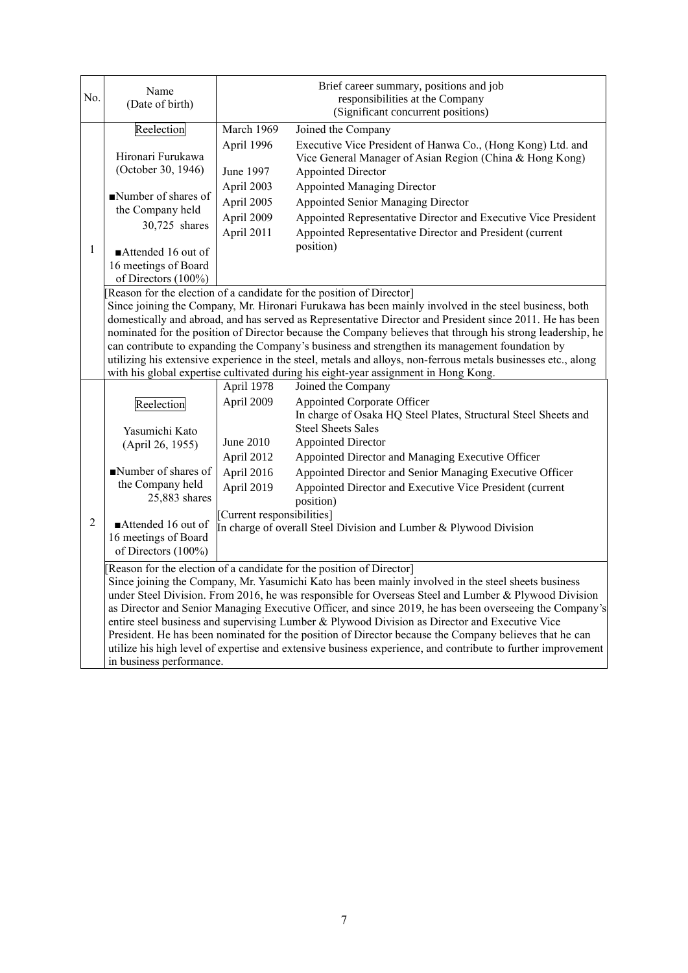| No.            | Name<br>(Date of birth)                                                                                                                                                                                                                                                                                                                                                                                                                                                                                                                                                                                                                                                                                            |                                                                                                | Brief career summary, positions and job<br>responsibilities at the Company<br>(Significant concurrent positions)                                                                                                                                                                                                                                                                                         |  |  |  |
|----------------|--------------------------------------------------------------------------------------------------------------------------------------------------------------------------------------------------------------------------------------------------------------------------------------------------------------------------------------------------------------------------------------------------------------------------------------------------------------------------------------------------------------------------------------------------------------------------------------------------------------------------------------------------------------------------------------------------------------------|------------------------------------------------------------------------------------------------|----------------------------------------------------------------------------------------------------------------------------------------------------------------------------------------------------------------------------------------------------------------------------------------------------------------------------------------------------------------------------------------------------------|--|--|--|
| 1              | Reelection<br>Hironari Furukawa<br>(October 30, 1946)<br>Number of shares of<br>the Company held<br>30,725 shares<br>Attended 16 out of<br>16 meetings of Board<br>of Directors (100%)                                                                                                                                                                                                                                                                                                                                                                                                                                                                                                                             | March 1969<br>April 1996<br>June 1997<br>April 2003<br>April 2005<br>April 2009<br>April 2011  | Joined the Company<br>Executive Vice President of Hanwa Co., (Hong Kong) Ltd. and<br>Vice General Manager of Asian Region (China & Hong Kong)<br><b>Appointed Director</b><br><b>Appointed Managing Director</b><br><b>Appointed Senior Managing Director</b><br>Appointed Representative Director and Executive Vice President<br>Appointed Representative Director and President (current<br>position) |  |  |  |
|                | [Reason for the election of a candidate for the position of Director]<br>Since joining the Company, Mr. Hironari Furukawa has been mainly involved in the steel business, both<br>domestically and abroad, and has served as Representative Director and President since 2011. He has been<br>nominated for the position of Director because the Company believes that through his strong leadership, he<br>can contribute to expanding the Company's business and strengthen its management foundation by<br>utilizing his extensive experience in the steel, metals and alloys, non-ferrous metals businesses etc., along<br>with his global expertise cultivated during his eight-year assignment in Hong Kong. |                                                                                                |                                                                                                                                                                                                                                                                                                                                                                                                          |  |  |  |
|                |                                                                                                                                                                                                                                                                                                                                                                                                                                                                                                                                                                                                                                                                                                                    | April 1978                                                                                     | Joined the Company                                                                                                                                                                                                                                                                                                                                                                                       |  |  |  |
|                | Reelection                                                                                                                                                                                                                                                                                                                                                                                                                                                                                                                                                                                                                                                                                                         | April 2009                                                                                     | <b>Appointed Corporate Officer</b><br>In charge of Osaka HQ Steel Plates, Structural Steel Sheets and                                                                                                                                                                                                                                                                                                    |  |  |  |
|                | Yasumichi Kato<br>(April 26, 1955)                                                                                                                                                                                                                                                                                                                                                                                                                                                                                                                                                                                                                                                                                 | June 2010                                                                                      | <b>Steel Sheets Sales</b><br><b>Appointed Director</b>                                                                                                                                                                                                                                                                                                                                                   |  |  |  |
|                |                                                                                                                                                                                                                                                                                                                                                                                                                                                                                                                                                                                                                                                                                                                    | April 2012                                                                                     | Appointed Director and Managing Executive Officer                                                                                                                                                                                                                                                                                                                                                        |  |  |  |
|                | Number of shares of                                                                                                                                                                                                                                                                                                                                                                                                                                                                                                                                                                                                                                                                                                | April 2016                                                                                     | Appointed Director and Senior Managing Executive Officer                                                                                                                                                                                                                                                                                                                                                 |  |  |  |
|                | the Company held<br>25,883 shares                                                                                                                                                                                                                                                                                                                                                                                                                                                                                                                                                                                                                                                                                  | April 2019                                                                                     | Appointed Director and Executive Vice President (current<br>position)                                                                                                                                                                                                                                                                                                                                    |  |  |  |
| $\overline{2}$ | Attended 16 out of                                                                                                                                                                                                                                                                                                                                                                                                                                                                                                                                                                                                                                                                                                 | [Current responsibilities]                                                                     |                                                                                                                                                                                                                                                                                                                                                                                                          |  |  |  |
|                | 16 meetings of Board<br>of Directors (100%)                                                                                                                                                                                                                                                                                                                                                                                                                                                                                                                                                                                                                                                                        |                                                                                                | In charge of overall Steel Division and Lumber & Plywood Division                                                                                                                                                                                                                                                                                                                                        |  |  |  |
|                |                                                                                                                                                                                                                                                                                                                                                                                                                                                                                                                                                                                                                                                                                                                    |                                                                                                | Reason for the election of a candidate for the position of Director]                                                                                                                                                                                                                                                                                                                                     |  |  |  |
|                | Since joining the Company, Mr. Yasumichi Kato has been mainly involved in the steel sheets business<br>under Steel Division. From 2016, he was responsible for Overseas Steel and Lumber & Plywood Division                                                                                                                                                                                                                                                                                                                                                                                                                                                                                                        |                                                                                                |                                                                                                                                                                                                                                                                                                                                                                                                          |  |  |  |
|                | as Director and Senior Managing Executive Officer, and since 2019, he has been overseeing the Company's                                                                                                                                                                                                                                                                                                                                                                                                                                                                                                                                                                                                            |                                                                                                |                                                                                                                                                                                                                                                                                                                                                                                                          |  |  |  |
|                |                                                                                                                                                                                                                                                                                                                                                                                                                                                                                                                                                                                                                                                                                                                    | entire steel business and supervising Lumber & Plywood Division as Director and Executive Vice |                                                                                                                                                                                                                                                                                                                                                                                                          |  |  |  |
|                |                                                                                                                                                                                                                                                                                                                                                                                                                                                                                                                                                                                                                                                                                                                    |                                                                                                | President. He has been nominated for the position of Director because the Company believes that he can<br>utilize his high level of expertise and extensive business experience, and contribute to further improvement                                                                                                                                                                                   |  |  |  |
|                | in business performance.                                                                                                                                                                                                                                                                                                                                                                                                                                                                                                                                                                                                                                                                                           |                                                                                                |                                                                                                                                                                                                                                                                                                                                                                                                          |  |  |  |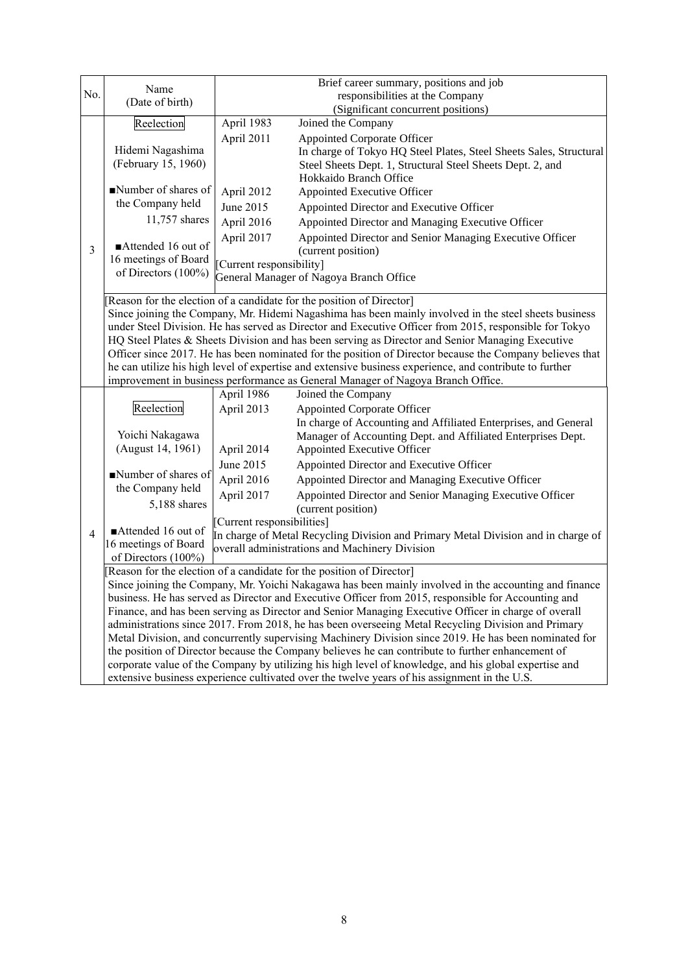| No.            | Name                                                                                                                                                                                                                                                                                                                                                                                                                                                                                                                                                                                                                                                                                                  |                                                                                                                                                                                                              | Brief career summary, positions and job<br>responsibilities at the Company                                                                                                                                                                                                                                 |  |  |  |
|----------------|-------------------------------------------------------------------------------------------------------------------------------------------------------------------------------------------------------------------------------------------------------------------------------------------------------------------------------------------------------------------------------------------------------------------------------------------------------------------------------------------------------------------------------------------------------------------------------------------------------------------------------------------------------------------------------------------------------|--------------------------------------------------------------------------------------------------------------------------------------------------------------------------------------------------------------|------------------------------------------------------------------------------------------------------------------------------------------------------------------------------------------------------------------------------------------------------------------------------------------------------------|--|--|--|
|                | (Date of birth)                                                                                                                                                                                                                                                                                                                                                                                                                                                                                                                                                                                                                                                                                       |                                                                                                                                                                                                              | (Significant concurrent positions)                                                                                                                                                                                                                                                                         |  |  |  |
|                | Reelection                                                                                                                                                                                                                                                                                                                                                                                                                                                                                                                                                                                                                                                                                            | April 1983                                                                                                                                                                                                   | Joined the Company                                                                                                                                                                                                                                                                                         |  |  |  |
|                | Hidemi Nagashima<br>(February 15, 1960)                                                                                                                                                                                                                                                                                                                                                                                                                                                                                                                                                                                                                                                               | April 2011                                                                                                                                                                                                   | <b>Appointed Corporate Officer</b><br>In charge of Tokyo HQ Steel Plates, Steel Sheets Sales, Structural<br>Steel Sheets Dept. 1, Structural Steel Sheets Dept. 2, and<br>Hokkaido Branch Office                                                                                                           |  |  |  |
|                | Number of shares of                                                                                                                                                                                                                                                                                                                                                                                                                                                                                                                                                                                                                                                                                   | April 2012                                                                                                                                                                                                   | Appointed Executive Officer                                                                                                                                                                                                                                                                                |  |  |  |
|                | the Company held                                                                                                                                                                                                                                                                                                                                                                                                                                                                                                                                                                                                                                                                                      | June 2015                                                                                                                                                                                                    | Appointed Director and Executive Officer                                                                                                                                                                                                                                                                   |  |  |  |
|                | 11,757 shares                                                                                                                                                                                                                                                                                                                                                                                                                                                                                                                                                                                                                                                                                         | April 2016                                                                                                                                                                                                   | Appointed Director and Managing Executive Officer                                                                                                                                                                                                                                                          |  |  |  |
| $\overline{3}$ | Attended 16 out of                                                                                                                                                                                                                                                                                                                                                                                                                                                                                                                                                                                                                                                                                    | April 2017                                                                                                                                                                                                   | Appointed Director and Senior Managing Executive Officer<br>(current position)                                                                                                                                                                                                                             |  |  |  |
|                | 16 meetings of Board<br>of Directors (100%)                                                                                                                                                                                                                                                                                                                                                                                                                                                                                                                                                                                                                                                           | [Current responsibility]                                                                                                                                                                                     |                                                                                                                                                                                                                                                                                                            |  |  |  |
|                |                                                                                                                                                                                                                                                                                                                                                                                                                                                                                                                                                                                                                                                                                                       |                                                                                                                                                                                                              | General Manager of Nagoya Branch Office                                                                                                                                                                                                                                                                    |  |  |  |
|                | Reason for the election of a candidate for the position of Director]<br>Since joining the Company, Mr. Hidemi Nagashima has been mainly involved in the steel sheets business<br>under Steel Division. He has served as Director and Executive Officer from 2015, responsible for Tokyo<br>HQ Steel Plates & Sheets Division and has been serving as Director and Senior Managing Executive<br>Officer since 2017. He has been nominated for the position of Director because the Company believes that<br>he can utilize his high level of expertise and extensive business experience, and contribute to further<br>improvement in business performance as General Manager of Nagoya Branch Office. |                                                                                                                                                                                                              |                                                                                                                                                                                                                                                                                                            |  |  |  |
|                |                                                                                                                                                                                                                                                                                                                                                                                                                                                                                                                                                                                                                                                                                                       | April 1986                                                                                                                                                                                                   | Joined the Company                                                                                                                                                                                                                                                                                         |  |  |  |
|                | Reelection<br>Yoichi Nakagawa<br>(August 14, 1961)                                                                                                                                                                                                                                                                                                                                                                                                                                                                                                                                                                                                                                                    | April 2013<br>April 2014                                                                                                                                                                                     | Appointed Corporate Officer<br>In charge of Accounting and Affiliated Enterprises, and General<br>Manager of Accounting Dept. and Affiliated Enterprises Dept.<br>Appointed Executive Officer                                                                                                              |  |  |  |
|                |                                                                                                                                                                                                                                                                                                                                                                                                                                                                                                                                                                                                                                                                                                       | June 2015                                                                                                                                                                                                    | Appointed Director and Executive Officer                                                                                                                                                                                                                                                                   |  |  |  |
|                | Number of shares of                                                                                                                                                                                                                                                                                                                                                                                                                                                                                                                                                                                                                                                                                   | April 2016                                                                                                                                                                                                   | Appointed Director and Managing Executive Officer                                                                                                                                                                                                                                                          |  |  |  |
|                | the Company held<br>5,188 shares                                                                                                                                                                                                                                                                                                                                                                                                                                                                                                                                                                                                                                                                      | April 2017                                                                                                                                                                                                   | Appointed Director and Senior Managing Executive Officer                                                                                                                                                                                                                                                   |  |  |  |
|                |                                                                                                                                                                                                                                                                                                                                                                                                                                                                                                                                                                                                                                                                                                       |                                                                                                                                                                                                              | (current position)                                                                                                                                                                                                                                                                                         |  |  |  |
| $\overline{4}$ | Attended 16 out of<br>16 meetings of Board<br>of Directors (100%)                                                                                                                                                                                                                                                                                                                                                                                                                                                                                                                                                                                                                                     | [Current responsibilities]                                                                                                                                                                                   | In charge of Metal Recycling Division and Primary Metal Division and in charge of<br>overall administrations and Machinery Division                                                                                                                                                                        |  |  |  |
|                | Reason for the election of a candidate for the position of Director]                                                                                                                                                                                                                                                                                                                                                                                                                                                                                                                                                                                                                                  |                                                                                                                                                                                                              |                                                                                                                                                                                                                                                                                                            |  |  |  |
|                |                                                                                                                                                                                                                                                                                                                                                                                                                                                                                                                                                                                                                                                                                                       | Since joining the Company, Mr. Yoichi Nakagawa has been mainly involved in the accounting and finance<br>business. He has served as Director and Executive Officer from 2015, responsible for Accounting and |                                                                                                                                                                                                                                                                                                            |  |  |  |
|                |                                                                                                                                                                                                                                                                                                                                                                                                                                                                                                                                                                                                                                                                                                       |                                                                                                                                                                                                              | Finance, and has been serving as Director and Senior Managing Executive Officer in charge of overall                                                                                                                                                                                                       |  |  |  |
|                |                                                                                                                                                                                                                                                                                                                                                                                                                                                                                                                                                                                                                                                                                                       | administrations since 2017. From 2018, he has been overseeing Metal Recycling Division and Primary                                                                                                           |                                                                                                                                                                                                                                                                                                            |  |  |  |
|                |                                                                                                                                                                                                                                                                                                                                                                                                                                                                                                                                                                                                                                                                                                       |                                                                                                                                                                                                              | Metal Division, and concurrently supervising Machinery Division since 2019. He has been nominated for                                                                                                                                                                                                      |  |  |  |
|                |                                                                                                                                                                                                                                                                                                                                                                                                                                                                                                                                                                                                                                                                                                       |                                                                                                                                                                                                              | the position of Director because the Company believes he can contribute to further enhancement of<br>corporate value of the Company by utilizing his high level of knowledge, and his global expertise and<br>extensive business experience cultivated over the twelve years of his assignment in the U.S. |  |  |  |
|                |                                                                                                                                                                                                                                                                                                                                                                                                                                                                                                                                                                                                                                                                                                       |                                                                                                                                                                                                              |                                                                                                                                                                                                                                                                                                            |  |  |  |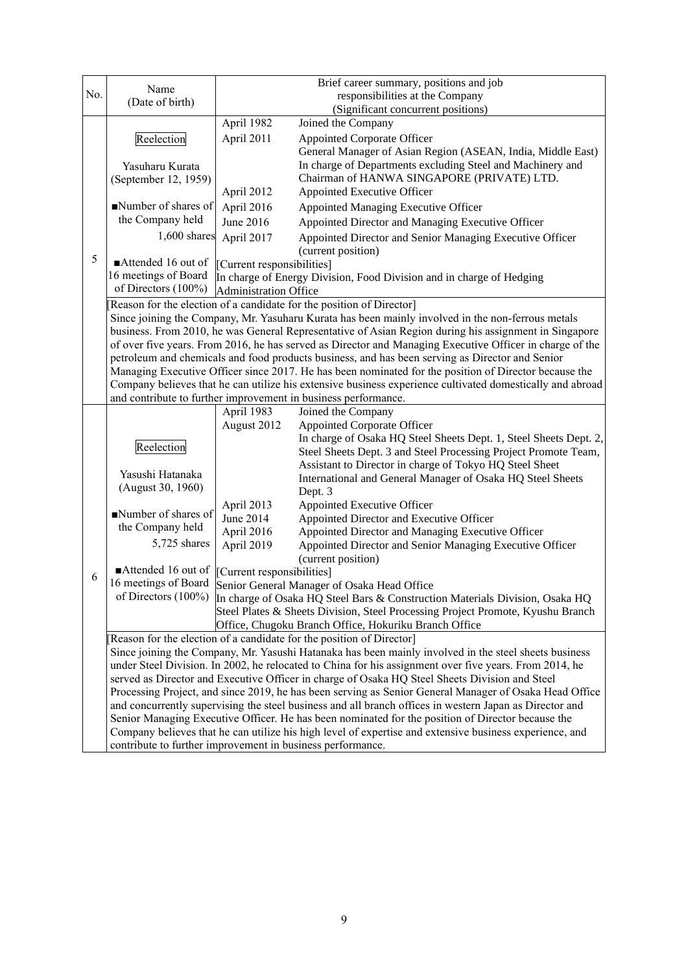|     |                                                            |                                                                                                        | Brief career summary, positions and job                                                                   |  |  |
|-----|------------------------------------------------------------|--------------------------------------------------------------------------------------------------------|-----------------------------------------------------------------------------------------------------------|--|--|
| No. | Name                                                       |                                                                                                        | responsibilities at the Company                                                                           |  |  |
|     | (Date of birth)                                            |                                                                                                        | (Significant concurrent positions)                                                                        |  |  |
|     |                                                            | April 1982                                                                                             | Joined the Company                                                                                        |  |  |
|     | Reelection                                                 | April 2011                                                                                             | <b>Appointed Corporate Officer</b>                                                                        |  |  |
|     |                                                            |                                                                                                        | General Manager of Asian Region (ASEAN, India, Middle East)                                               |  |  |
|     | Yasuharu Kurata                                            |                                                                                                        | In charge of Departments excluding Steel and Machinery and                                                |  |  |
|     | (September 12, 1959)                                       |                                                                                                        | Chairman of HANWA SINGAPORE (PRIVATE) LTD.                                                                |  |  |
|     |                                                            | April 2012                                                                                             | Appointed Executive Officer                                                                               |  |  |
|     | Number of shares of                                        | April 2016                                                                                             | Appointed Managing Executive Officer                                                                      |  |  |
|     | the Company held                                           | June 2016                                                                                              | Appointed Director and Managing Executive Officer                                                         |  |  |
|     | $1,600$ shares                                             | April 2017                                                                                             | Appointed Director and Senior Managing Executive Officer                                                  |  |  |
|     |                                                            |                                                                                                        | (current position)                                                                                        |  |  |
| 5   | Attended 16 out of                                         | [Current responsibilities]                                                                             |                                                                                                           |  |  |
|     | 16 meetings of Board                                       |                                                                                                        | In charge of Energy Division, Food Division and in charge of Hedging                                      |  |  |
|     | of Directors (100%)                                        | <b>Administration Office</b>                                                                           |                                                                                                           |  |  |
|     |                                                            |                                                                                                        | Reason for the election of a candidate for the position of Director]                                      |  |  |
|     |                                                            |                                                                                                        | Since joining the Company, Mr. Yasuharu Kurata has been mainly involved in the non-ferrous metals         |  |  |
|     |                                                            |                                                                                                        | business. From 2010, he was General Representative of Asian Region during his assignment in Singapore     |  |  |
|     |                                                            |                                                                                                        | of over five years. From 2016, he has served as Director and Managing Executive Officer in charge of the  |  |  |
|     |                                                            |                                                                                                        | petroleum and chemicals and food products business, and has been serving as Director and Senior           |  |  |
|     |                                                            |                                                                                                        | Managing Executive Officer since 2017. He has been nominated for the position of Director because the     |  |  |
|     |                                                            |                                                                                                        | Company believes that he can utilize his extensive business experience cultivated domestically and abroad |  |  |
|     |                                                            |                                                                                                        | and contribute to further improvement in business performance.                                            |  |  |
|     |                                                            | April 1983                                                                                             | Joined the Company                                                                                        |  |  |
|     |                                                            | August 2012                                                                                            | <b>Appointed Corporate Officer</b>                                                                        |  |  |
|     | Reelection                                                 |                                                                                                        | In charge of Osaka HQ Steel Sheets Dept. 1, Steel Sheets Dept. 2,                                         |  |  |
|     |                                                            |                                                                                                        | Steel Sheets Dept. 3 and Steel Processing Project Promote Team,                                           |  |  |
|     | Yasushi Hatanaka                                           |                                                                                                        | Assistant to Director in charge of Tokyo HQ Steel Sheet                                                   |  |  |
|     | (August 30, 1960)                                          |                                                                                                        | International and General Manager of Osaka HQ Steel Sheets                                                |  |  |
|     |                                                            |                                                                                                        | Dept. 3                                                                                                   |  |  |
|     | Number of shares of                                        | April 2013                                                                                             | Appointed Executive Officer                                                                               |  |  |
|     | the Company held                                           | June 2014                                                                                              | Appointed Director and Executive Officer                                                                  |  |  |
|     | 5,725 shares                                               | April 2016                                                                                             | Appointed Director and Managing Executive Officer                                                         |  |  |
|     |                                                            | April 2019                                                                                             | Appointed Director and Senior Managing Executive Officer                                                  |  |  |
|     | Attended 16 out of                                         | [Current responsibilities]                                                                             | (current position)                                                                                        |  |  |
| 6   | 16 meetings of Board                                       |                                                                                                        | Senior General Manager of Osaka Head Office                                                               |  |  |
|     |                                                            |                                                                                                        | of Directors (100%) In charge of Osaka HQ Steel Bars & Construction Materials Division, Osaka HQ          |  |  |
|     |                                                            |                                                                                                        | Steel Plates & Sheets Division, Steel Processing Project Promote, Kyushu Branch                           |  |  |
|     |                                                            |                                                                                                        | Office, Chugoku Branch Office, Hokuriku Branch Office                                                     |  |  |
|     |                                                            |                                                                                                        | Reason for the election of a candidate for the position of Director]                                      |  |  |
|     |                                                            |                                                                                                        | Since joining the Company, Mr. Yasushi Hatanaka has been mainly involved in the steel sheets business     |  |  |
|     |                                                            | under Steel Division. In 2002, he relocated to China for his assignment over five years. From 2014, he |                                                                                                           |  |  |
|     |                                                            |                                                                                                        | served as Director and Executive Officer in charge of Osaka HQ Steel Sheets Division and Steel            |  |  |
|     |                                                            |                                                                                                        | Processing Project, and since 2019, he has been serving as Senior General Manager of Osaka Head Office    |  |  |
|     |                                                            |                                                                                                        | and concurrently supervising the steel business and all branch offices in western Japan as Director and   |  |  |
|     |                                                            |                                                                                                        | Senior Managing Executive Officer. He has been nominated for the position of Director because the         |  |  |
|     |                                                            |                                                                                                        | Company believes that he can utilize his high level of expertise and extensive business experience, and   |  |  |
|     | contribute to further improvement in business performance. |                                                                                                        |                                                                                                           |  |  |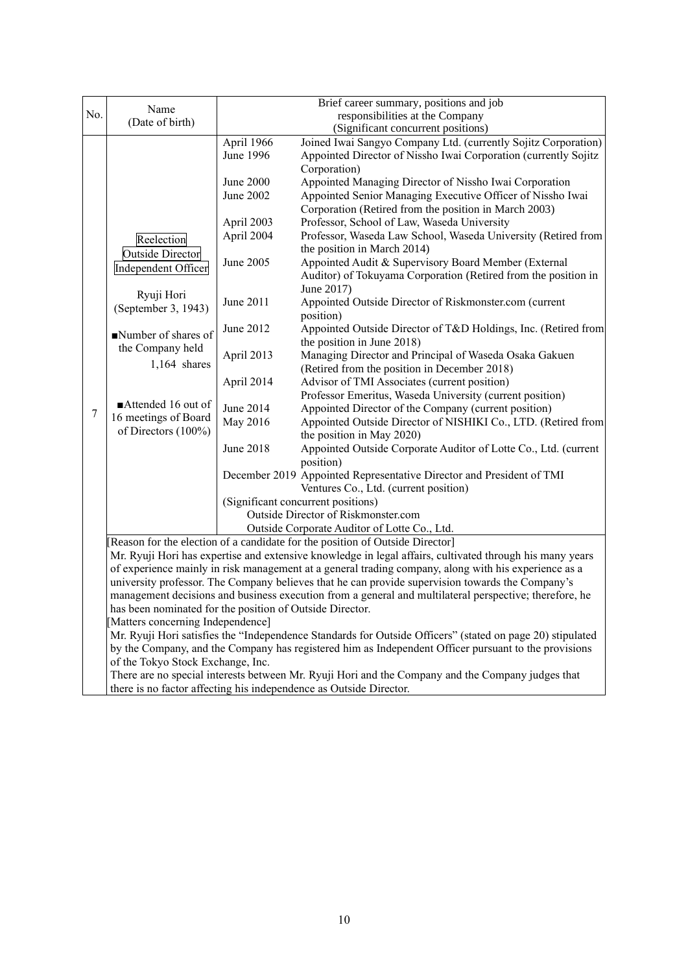|                  |                                                                                                                                                                    |            | Brief career summary, positions and job                                                                   |
|------------------|--------------------------------------------------------------------------------------------------------------------------------------------------------------------|------------|-----------------------------------------------------------------------------------------------------------|
| No.              | Name                                                                                                                                                               |            | responsibilities at the Company                                                                           |
|                  | (Date of birth)                                                                                                                                                    |            | (Significant concurrent positions)                                                                        |
|                  |                                                                                                                                                                    | April 1966 | Joined Iwai Sangyo Company Ltd. (currently Sojitz Corporation)                                            |
|                  |                                                                                                                                                                    | June 1996  | Appointed Director of Nissho Iwai Corporation (currently Sojitz                                           |
|                  |                                                                                                                                                                    |            | Corporation)                                                                                              |
|                  |                                                                                                                                                                    | June 2000  | Appointed Managing Director of Nissho Iwai Corporation                                                    |
|                  |                                                                                                                                                                    | June 2002  | Appointed Senior Managing Executive Officer of Nissho Iwai                                                |
|                  |                                                                                                                                                                    |            | Corporation (Retired from the position in March 2003)                                                     |
|                  |                                                                                                                                                                    | April 2003 | Professor, School of Law, Waseda University                                                               |
|                  | Reelection                                                                                                                                                         | April 2004 | Professor, Waseda Law School, Waseda University (Retired from                                             |
|                  |                                                                                                                                                                    |            | the position in March 2014)                                                                               |
|                  | <b>Outside Director</b>                                                                                                                                            | June 2005  | Appointed Audit & Supervisory Board Member (External                                                      |
|                  | <b>Independent Officer</b>                                                                                                                                         |            | Auditor) of Tokuyama Corporation (Retired from the position in                                            |
|                  |                                                                                                                                                                    |            | June 2017)                                                                                                |
|                  | Ryuji Hori                                                                                                                                                         | June 2011  | Appointed Outside Director of Riskmonster.com (current                                                    |
|                  | (September 3, 1943)                                                                                                                                                |            | position)                                                                                                 |
|                  |                                                                                                                                                                    | June 2012  | Appointed Outside Director of T&D Holdings, Inc. (Retired from                                            |
|                  | Number of shares of                                                                                                                                                |            | the position in June 2018)                                                                                |
|                  | the Company held                                                                                                                                                   | April 2013 | Managing Director and Principal of Waseda Osaka Gakuen                                                    |
|                  | 1,164 shares                                                                                                                                                       |            | (Retired from the position in December 2018)                                                              |
|                  |                                                                                                                                                                    | April 2014 | Advisor of TMI Associates (current position)                                                              |
|                  |                                                                                                                                                                    |            | Professor Emeritus, Waseda University (current position)                                                  |
| $\boldsymbol{7}$ | Attended 16 out of                                                                                                                                                 | June 2014  | Appointed Director of the Company (current position)                                                      |
|                  | 16 meetings of Board                                                                                                                                               | May 2016   | Appointed Outside Director of NISHIKI Co., LTD. (Retired from                                             |
|                  | of Directors (100%)                                                                                                                                                |            | the position in May 2020)                                                                                 |
|                  |                                                                                                                                                                    | June 2018  | Appointed Outside Corporate Auditor of Lotte Co., Ltd. (current                                           |
|                  |                                                                                                                                                                    |            | position)                                                                                                 |
|                  |                                                                                                                                                                    |            | December 2019 Appointed Representative Director and President of TMI                                      |
|                  |                                                                                                                                                                    |            | Ventures Co., Ltd. (current position)                                                                     |
|                  |                                                                                                                                                                    |            | (Significant concurrent positions)                                                                        |
|                  |                                                                                                                                                                    |            | Outside Director of Riskmonster.com                                                                       |
|                  |                                                                                                                                                                    |            | Outside Corporate Auditor of Lotte Co., Ltd.                                                              |
|                  |                                                                                                                                                                    |            | [Reason for the election of a candidate for the position of Outside Director]                             |
|                  |                                                                                                                                                                    |            | Mr. Ryuji Hori has expertise and extensive knowledge in legal affairs, cultivated through his many years  |
|                  |                                                                                                                                                                    |            | of experience mainly in risk management at a general trading company, along with his experience as a      |
|                  |                                                                                                                                                                    |            | university professor. The Company believes that he can provide supervision towards the Company's          |
|                  | management decisions and business execution from a general and multilateral perspective; therefore, he<br>has been nominated for the position of Outside Director. |            |                                                                                                           |
|                  |                                                                                                                                                                    |            |                                                                                                           |
|                  | Matters concerning Independence]                                                                                                                                   |            |                                                                                                           |
|                  |                                                                                                                                                                    |            | Mr. Ryuji Hori satisfies the "Independence Standards for Outside Officers" (stated on page 20) stipulated |
|                  |                                                                                                                                                                    |            | by the Company, and the Company has registered him as Independent Officer pursuant to the provisions      |
|                  | of the Tokyo Stock Exchange, Inc.                                                                                                                                  |            |                                                                                                           |
|                  |                                                                                                                                                                    |            | There are no special interests between Mr. Ryuji Hori and the Company and the Company judges that         |
|                  |                                                                                                                                                                    |            | there is no factor affecting his independence as Outside Director.                                        |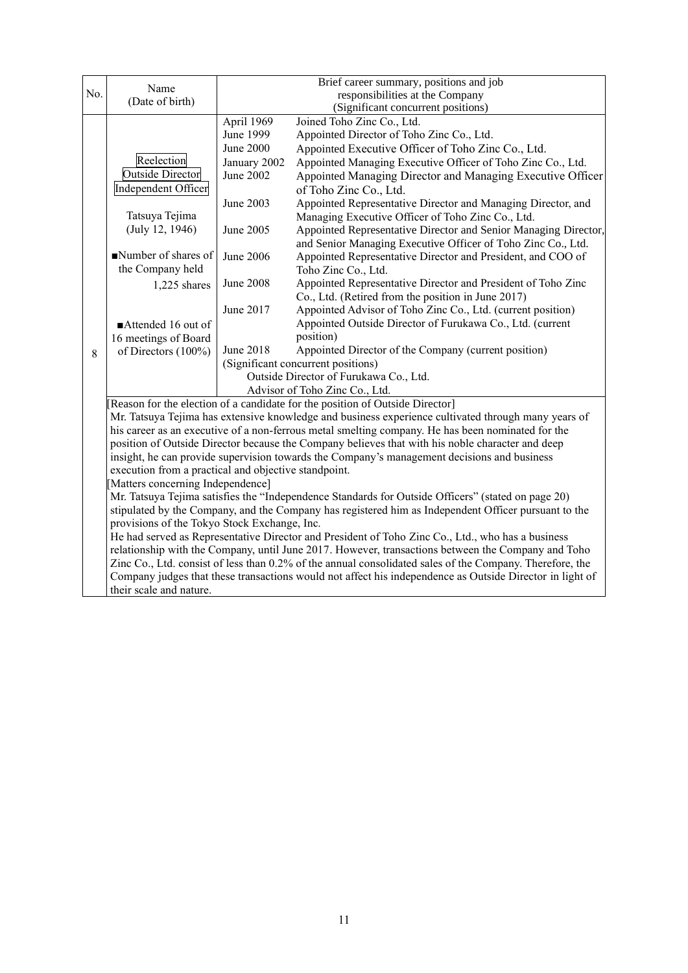|     |                                                                                                          |                  | Brief career summary, positions and job                                                                                                                                              |  |
|-----|----------------------------------------------------------------------------------------------------------|------------------|--------------------------------------------------------------------------------------------------------------------------------------------------------------------------------------|--|
| No. | Name                                                                                                     |                  | responsibilities at the Company                                                                                                                                                      |  |
|     | (Date of birth)                                                                                          |                  | (Significant concurrent positions)                                                                                                                                                   |  |
|     |                                                                                                          | April 1969       | Joined Toho Zinc Co., Ltd.                                                                                                                                                           |  |
|     |                                                                                                          | June 1999        | Appointed Director of Toho Zinc Co., Ltd.                                                                                                                                            |  |
|     |                                                                                                          | <b>June 2000</b> | Appointed Executive Officer of Toho Zinc Co., Ltd.                                                                                                                                   |  |
|     | Reelection                                                                                               | January 2002     | Appointed Managing Executive Officer of Toho Zinc Co., Ltd.                                                                                                                          |  |
|     | <b>Outside Director</b>                                                                                  | June 2002        | Appointed Managing Director and Managing Executive Officer                                                                                                                           |  |
|     | Independent Officer                                                                                      |                  | of Toho Zinc Co., Ltd.                                                                                                                                                               |  |
|     |                                                                                                          | June 2003        | Appointed Representative Director and Managing Director, and                                                                                                                         |  |
|     | Tatsuya Tejima                                                                                           |                  | Managing Executive Officer of Toho Zinc Co., Ltd.                                                                                                                                    |  |
|     | (July 12, 1946)                                                                                          | June 2005        | Appointed Representative Director and Senior Managing Director,                                                                                                                      |  |
|     |                                                                                                          |                  | and Senior Managing Executive Officer of Toho Zinc Co., Ltd.                                                                                                                         |  |
|     | Number of shares of                                                                                      | June 2006        | Appointed Representative Director and President, and COO of                                                                                                                          |  |
|     | the Company held                                                                                         |                  | Toho Zinc Co., Ltd.                                                                                                                                                                  |  |
|     | 1,225 shares                                                                                             | <b>June 2008</b> | Appointed Representative Director and President of Toho Zinc                                                                                                                         |  |
|     |                                                                                                          |                  | Co., Ltd. (Retired from the position in June 2017)                                                                                                                                   |  |
|     |                                                                                                          | June 2017        | Appointed Advisor of Toho Zinc Co., Ltd. (current position)                                                                                                                          |  |
|     | Attended 16 out of                                                                                       |                  | Appointed Outside Director of Furukawa Co., Ltd. (current                                                                                                                            |  |
|     | 16 meetings of Board                                                                                     |                  | position)                                                                                                                                                                            |  |
| 8   | of Directors (100%)                                                                                      | <b>June 2018</b> | Appointed Director of the Company (current position)                                                                                                                                 |  |
|     |                                                                                                          |                  | (Significant concurrent positions)                                                                                                                                                   |  |
|     |                                                                                                          |                  | Outside Director of Furukawa Co., Ltd.<br>Advisor of Toho Zinc Co., Ltd.                                                                                                             |  |
|     |                                                                                                          |                  |                                                                                                                                                                                      |  |
|     |                                                                                                          |                  | [Reason for the election of a candidate for the position of Outside Director]<br>Mr. Tatsuya Tejima has extensive knowledge and business experience cultivated through many years of |  |
|     |                                                                                                          |                  | his career as an executive of a non-ferrous metal smelting company. He has been nominated for the                                                                                    |  |
|     |                                                                                                          |                  | position of Outside Director because the Company believes that with his noble character and deep                                                                                     |  |
|     |                                                                                                          |                  | insight, he can provide supervision towards the Company's management decisions and business                                                                                          |  |
|     | execution from a practical and objective standpoint.                                                     |                  |                                                                                                                                                                                      |  |
|     | Matters concerning Independence]                                                                         |                  |                                                                                                                                                                                      |  |
|     |                                                                                                          |                  | Mr. Tatsuya Tejima satisfies the "Independence Standards for Outside Officers" (stated on page 20)                                                                                   |  |
|     |                                                                                                          |                  | stipulated by the Company, and the Company has registered him as Independent Officer pursuant to the                                                                                 |  |
|     | provisions of the Tokyo Stock Exchange, Inc.                                                             |                  |                                                                                                                                                                                      |  |
|     |                                                                                                          |                  | He had served as Representative Director and President of Toho Zinc Co., Ltd., who has a business                                                                                    |  |
|     |                                                                                                          |                  | relationship with the Company, until June 2017. However, transactions between the Company and Toho                                                                                   |  |
|     |                                                                                                          |                  | Zinc Co., Ltd. consist of less than 0.2% of the annual consolidated sales of the Company. Therefore, the                                                                             |  |
|     | Company judges that these transactions would not affect his independence as Outside Director in light of |                  |                                                                                                                                                                                      |  |
|     | their scale and nature.                                                                                  |                  |                                                                                                                                                                                      |  |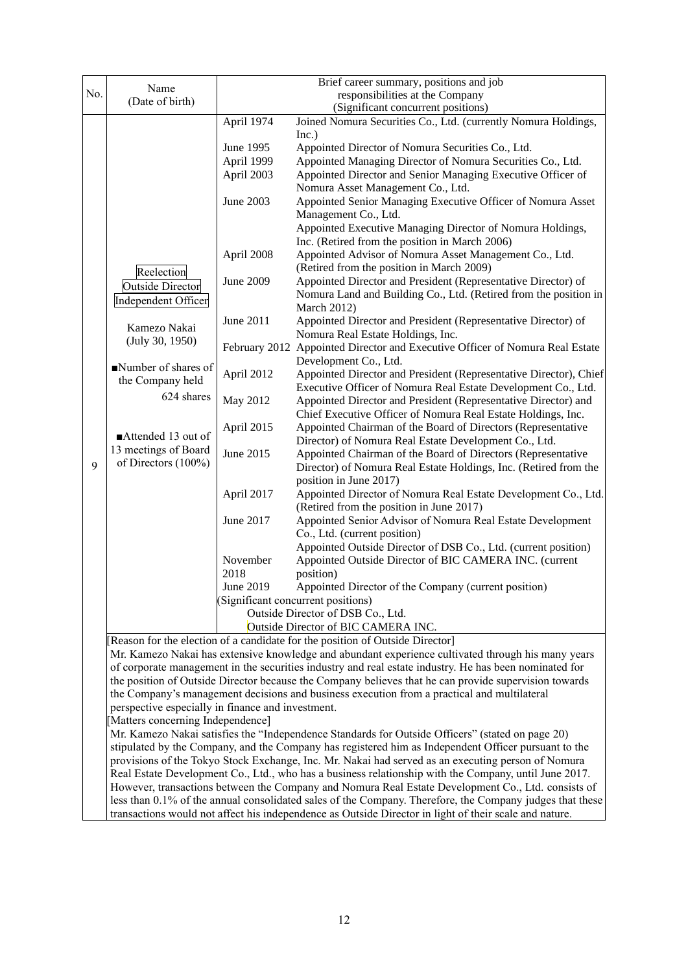|     |                                                                                                                                       |                                                                                                       | Brief career summary, positions and job                                                                                  |  |
|-----|---------------------------------------------------------------------------------------------------------------------------------------|-------------------------------------------------------------------------------------------------------|--------------------------------------------------------------------------------------------------------------------------|--|
| No. | Name                                                                                                                                  |                                                                                                       | responsibilities at the Company                                                                                          |  |
|     | (Date of birth)                                                                                                                       |                                                                                                       | (Significant concurrent positions)                                                                                       |  |
|     |                                                                                                                                       | April 1974                                                                                            | Joined Nomura Securities Co., Ltd. (currently Nomura Holdings,                                                           |  |
|     |                                                                                                                                       |                                                                                                       | Inc.)                                                                                                                    |  |
|     |                                                                                                                                       | June 1995                                                                                             | Appointed Director of Nomura Securities Co., Ltd.                                                                        |  |
|     |                                                                                                                                       | April 1999                                                                                            | Appointed Managing Director of Nomura Securities Co., Ltd.                                                               |  |
|     |                                                                                                                                       | April 2003                                                                                            | Appointed Director and Senior Managing Executive Officer of                                                              |  |
|     |                                                                                                                                       |                                                                                                       | Nomura Asset Management Co., Ltd.                                                                                        |  |
|     |                                                                                                                                       | June 2003                                                                                             | Appointed Senior Managing Executive Officer of Nomura Asset                                                              |  |
|     |                                                                                                                                       |                                                                                                       | Management Co., Ltd.                                                                                                     |  |
|     |                                                                                                                                       |                                                                                                       | Appointed Executive Managing Director of Nomura Holdings,                                                                |  |
|     |                                                                                                                                       |                                                                                                       | Inc. (Retired from the position in March 2006)                                                                           |  |
|     |                                                                                                                                       | April 2008                                                                                            | Appointed Advisor of Nomura Asset Management Co., Ltd.                                                                   |  |
|     | Reelection                                                                                                                            |                                                                                                       | (Retired from the position in March 2009)                                                                                |  |
|     | Outside Director                                                                                                                      | <b>June 2009</b>                                                                                      | Appointed Director and President (Representative Director) of                                                            |  |
|     | Independent Officer                                                                                                                   |                                                                                                       | Nomura Land and Building Co., Ltd. (Retired from the position in                                                         |  |
|     |                                                                                                                                       |                                                                                                       | <b>March 2012)</b>                                                                                                       |  |
|     | Kamezo Nakai                                                                                                                          | June 2011                                                                                             | Appointed Director and President (Representative Director) of                                                            |  |
|     | (July 30, 1950)                                                                                                                       | February 2012                                                                                         | Nomura Real Estate Holdings, Inc.                                                                                        |  |
|     |                                                                                                                                       |                                                                                                       | Appointed Director and Executive Officer of Nomura Real Estate<br>Development Co., Ltd.                                  |  |
|     | Number of shares of                                                                                                                   | April 2012                                                                                            | Appointed Director and President (Representative Director), Chief                                                        |  |
|     | the Company held                                                                                                                      |                                                                                                       | Executive Officer of Nomura Real Estate Development Co., Ltd.                                                            |  |
|     | 624 shares                                                                                                                            | May 2012                                                                                              | Appointed Director and President (Representative Director) and                                                           |  |
|     |                                                                                                                                       |                                                                                                       | Chief Executive Officer of Nomura Real Estate Holdings, Inc.                                                             |  |
|     |                                                                                                                                       | April 2015                                                                                            | Appointed Chairman of the Board of Directors (Representative                                                             |  |
|     | Attended 13 out of                                                                                                                    |                                                                                                       | Director) of Nomura Real Estate Development Co., Ltd.                                                                    |  |
|     | 13 meetings of Board                                                                                                                  | June 2015                                                                                             | Appointed Chairman of the Board of Directors (Representative                                                             |  |
| 9   | of Directors (100%)                                                                                                                   |                                                                                                       | Director) of Nomura Real Estate Holdings, Inc. (Retired from the                                                         |  |
|     |                                                                                                                                       |                                                                                                       | position in June 2017)                                                                                                   |  |
|     |                                                                                                                                       | April 2017                                                                                            | Appointed Director of Nomura Real Estate Development Co., Ltd.                                                           |  |
|     |                                                                                                                                       |                                                                                                       | (Retired from the position in June 2017)                                                                                 |  |
|     |                                                                                                                                       | June 2017                                                                                             | Appointed Senior Advisor of Nomura Real Estate Development                                                               |  |
|     |                                                                                                                                       |                                                                                                       | Co., Ltd. (current position)                                                                                             |  |
|     |                                                                                                                                       | November                                                                                              | Appointed Outside Director of DSB Co., Ltd. (current position)<br>Appointed Outside Director of BIC CAMERA INC. (current |  |
|     |                                                                                                                                       | 2018                                                                                                  | position)                                                                                                                |  |
|     |                                                                                                                                       | June 2019                                                                                             | Appointed Director of the Company (current position)                                                                     |  |
|     |                                                                                                                                       |                                                                                                       | (Significant concurrent positions)                                                                                       |  |
|     |                                                                                                                                       |                                                                                                       | Outside Director of DSB Co., Ltd.                                                                                        |  |
|     |                                                                                                                                       |                                                                                                       | Outside Director of BIC CAMERA INC.                                                                                      |  |
|     |                                                                                                                                       | Reason for the election of a candidate for the position of Outside Director]                          |                                                                                                                          |  |
|     |                                                                                                                                       |                                                                                                       | Mr. Kamezo Nakai has extensive knowledge and abundant experience cultivated through his many years                       |  |
|     |                                                                                                                                       |                                                                                                       | of corporate management in the securities industry and real estate industry. He has been nominated for                   |  |
|     |                                                                                                                                       | the position of Outside Director because the Company believes that he can provide supervision towards |                                                                                                                          |  |
|     |                                                                                                                                       | the Company's management decisions and business execution from a practical and multilateral           |                                                                                                                          |  |
|     | perspective especially in finance and investment.                                                                                     |                                                                                                       |                                                                                                                          |  |
|     | [Matters concerning Independence]<br>Mr. Kamezo Nakai satisfies the "Independence Standards for Outside Officers" (stated on page 20) |                                                                                                       |                                                                                                                          |  |
|     |                                                                                                                                       |                                                                                                       | stipulated by the Company, and the Company has registered him as Independent Officer pursuant to the                     |  |
|     |                                                                                                                                       |                                                                                                       | provisions of the Tokyo Stock Exchange, Inc. Mr. Nakai had served as an executing person of Nomura                       |  |
|     |                                                                                                                                       |                                                                                                       | Real Estate Development Co., Ltd., who has a business relationship with the Company, until June 2017.                    |  |
|     |                                                                                                                                       |                                                                                                       | However, transactions between the Company and Nomura Real Estate Development Co., Ltd. consists of                       |  |
|     |                                                                                                                                       |                                                                                                       | less than 0.1% of the annual consolidated sales of the Company. Therefore, the Company judges that these                 |  |
|     |                                                                                                                                       |                                                                                                       | transactions would not affect his independence as Outside Director in light of their scale and nature.                   |  |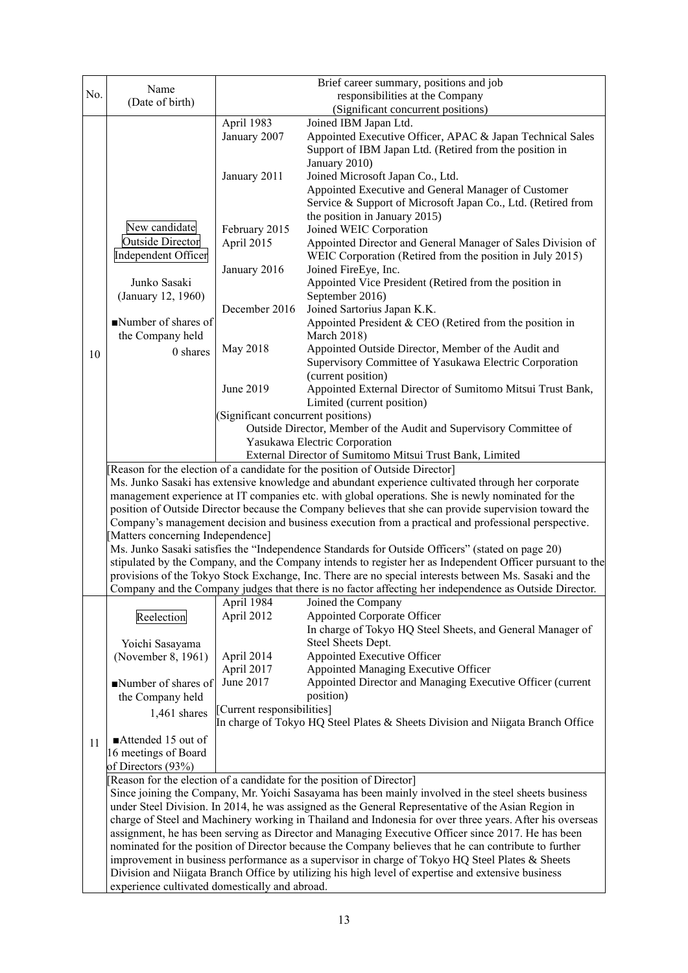|                                                                                                 |                                                                                                       |                                                                                                       | Brief career summary, positions and job                                                                   |  |  |
|-------------------------------------------------------------------------------------------------|-------------------------------------------------------------------------------------------------------|-------------------------------------------------------------------------------------------------------|-----------------------------------------------------------------------------------------------------------|--|--|
| No.                                                                                             | Name<br>(Date of birth)                                                                               | responsibilities at the Company                                                                       |                                                                                                           |  |  |
|                                                                                                 |                                                                                                       |                                                                                                       | (Significant concurrent positions)                                                                        |  |  |
|                                                                                                 |                                                                                                       | April 1983                                                                                            | Joined IBM Japan Ltd.                                                                                     |  |  |
|                                                                                                 |                                                                                                       | January 2007                                                                                          | Appointed Executive Officer, APAC & Japan Technical Sales                                                 |  |  |
|                                                                                                 |                                                                                                       |                                                                                                       | Support of IBM Japan Ltd. (Retired from the position in                                                   |  |  |
|                                                                                                 |                                                                                                       |                                                                                                       | January 2010)                                                                                             |  |  |
|                                                                                                 |                                                                                                       | January 2011                                                                                          | Joined Microsoft Japan Co., Ltd.                                                                          |  |  |
|                                                                                                 |                                                                                                       |                                                                                                       | Appointed Executive and General Manager of Customer                                                       |  |  |
|                                                                                                 |                                                                                                       |                                                                                                       | Service & Support of Microsoft Japan Co., Ltd. (Retired from                                              |  |  |
|                                                                                                 |                                                                                                       |                                                                                                       | the position in January 2015)                                                                             |  |  |
|                                                                                                 | New candidate                                                                                         | February 2015                                                                                         | Joined WEIC Corporation                                                                                   |  |  |
|                                                                                                 | <b>Outside Director</b>                                                                               | April 2015                                                                                            | Appointed Director and General Manager of Sales Division of                                               |  |  |
|                                                                                                 | Independent Officer                                                                                   |                                                                                                       | WEIC Corporation (Retired from the position in July 2015)                                                 |  |  |
|                                                                                                 | Junko Sasaki<br>(January 12, 1960)                                                                    | January 2016                                                                                          | Joined FireEye, Inc.                                                                                      |  |  |
|                                                                                                 |                                                                                                       |                                                                                                       | Appointed Vice President (Retired from the position in                                                    |  |  |
|                                                                                                 |                                                                                                       |                                                                                                       | September 2016)                                                                                           |  |  |
|                                                                                                 |                                                                                                       | December 2016                                                                                         | Joined Sartorius Japan K.K.                                                                               |  |  |
|                                                                                                 | Number of shares of                                                                                   |                                                                                                       | Appointed President & CEO (Retired from the position in                                                   |  |  |
|                                                                                                 | the Company held                                                                                      |                                                                                                       | <b>March 2018)</b>                                                                                        |  |  |
| 10                                                                                              | 0 shares                                                                                              | May 2018                                                                                              | Appointed Outside Director, Member of the Audit and                                                       |  |  |
|                                                                                                 |                                                                                                       |                                                                                                       | Supervisory Committee of Yasukawa Electric Corporation                                                    |  |  |
|                                                                                                 |                                                                                                       |                                                                                                       | (current position)                                                                                        |  |  |
|                                                                                                 |                                                                                                       | June 2019                                                                                             | Appointed External Director of Sumitomo Mitsui Trust Bank,                                                |  |  |
|                                                                                                 |                                                                                                       |                                                                                                       | Limited (current position)                                                                                |  |  |
|                                                                                                 |                                                                                                       | (Significant concurrent positions)                                                                    |                                                                                                           |  |  |
|                                                                                                 |                                                                                                       |                                                                                                       | Outside Director, Member of the Audit and Supervisory Committee of                                        |  |  |
|                                                                                                 |                                                                                                       |                                                                                                       | Yasukawa Electric Corporation                                                                             |  |  |
|                                                                                                 |                                                                                                       |                                                                                                       | External Director of Sumitomo Mitsui Trust Bank, Limited                                                  |  |  |
|                                                                                                 | Reason for the election of a candidate for the position of Outside Director]                          |                                                                                                       |                                                                                                           |  |  |
|                                                                                                 | Ms. Junko Sasaki has extensive knowledge and abundant experience cultivated through her corporate     |                                                                                                       |                                                                                                           |  |  |
|                                                                                                 | management experience at IT companies etc. with global operations. She is newly nominated for the     |                                                                                                       |                                                                                                           |  |  |
|                                                                                                 | position of Outside Director because the Company believes that she can provide supervision toward the |                                                                                                       |                                                                                                           |  |  |
|                                                                                                 | Company's management decision and business execution from a practical and professional perspective.   |                                                                                                       |                                                                                                           |  |  |
|                                                                                                 | [Matters concerning Independence]                                                                     |                                                                                                       |                                                                                                           |  |  |
|                                                                                                 |                                                                                                       |                                                                                                       | Ms. Junko Sasaki satisfies the "Independence Standards for Outside Officers" (stated on page 20)          |  |  |
|                                                                                                 |                                                                                                       |                                                                                                       | stipulated by the Company, and the Company intends to register her as Independent Officer pursuant to the |  |  |
|                                                                                                 |                                                                                                       |                                                                                                       | provisions of the Tokyo Stock Exchange, Inc. There are no special interests between Ms. Sasaki and the    |  |  |
|                                                                                                 |                                                                                                       |                                                                                                       | Company and the Company judges that there is no factor affecting her independence as Outside Director.    |  |  |
|                                                                                                 |                                                                                                       | April 1984                                                                                            | Joined the Company                                                                                        |  |  |
|                                                                                                 | Reelection                                                                                            | April 2012                                                                                            | <b>Appointed Corporate Officer</b>                                                                        |  |  |
|                                                                                                 |                                                                                                       |                                                                                                       | In charge of Tokyo HQ Steel Sheets, and General Manager of                                                |  |  |
|                                                                                                 | Yoichi Sasayama                                                                                       |                                                                                                       | Steel Sheets Dept.                                                                                        |  |  |
|                                                                                                 | (November 8, 1961)                                                                                    | April 2014                                                                                            | Appointed Executive Officer                                                                               |  |  |
|                                                                                                 |                                                                                                       | April 2017                                                                                            | Appointed Managing Executive Officer                                                                      |  |  |
|                                                                                                 | Number of shares of                                                                                   | June 2017                                                                                             | Appointed Director and Managing Executive Officer (current                                                |  |  |
|                                                                                                 | the Company held                                                                                      |                                                                                                       | position)                                                                                                 |  |  |
|                                                                                                 | 1,461 shares                                                                                          | [Current responsibilities]                                                                            |                                                                                                           |  |  |
|                                                                                                 |                                                                                                       |                                                                                                       | In charge of Tokyo HQ Steel Plates & Sheets Division and Niigata Branch Office                            |  |  |
| 11                                                                                              | Attended 15 out of                                                                                    |                                                                                                       |                                                                                                           |  |  |
|                                                                                                 | 16 meetings of Board                                                                                  |                                                                                                       |                                                                                                           |  |  |
|                                                                                                 | of Directors (93%)                                                                                    |                                                                                                       |                                                                                                           |  |  |
|                                                                                                 |                                                                                                       |                                                                                                       | [Reason for the election of a candidate for the position of Director]                                     |  |  |
|                                                                                                 |                                                                                                       |                                                                                                       | Since joining the Company, Mr. Yoichi Sasayama has been mainly involved in the steel sheets business      |  |  |
|                                                                                                 |                                                                                                       |                                                                                                       | under Steel Division. In 2014, he was assigned as the General Representative of the Asian Region in       |  |  |
|                                                                                                 |                                                                                                       |                                                                                                       | charge of Steel and Machinery working in Thailand and Indonesia for over three years. After his overseas  |  |  |
|                                                                                                 |                                                                                                       | assignment, he has been serving as Director and Managing Executive Officer since 2017. He has been    |                                                                                                           |  |  |
|                                                                                                 |                                                                                                       | nominated for the position of Director because the Company believes that he can contribute to further |                                                                                                           |  |  |
| improvement in business performance as a supervisor in charge of Tokyo HQ Steel Plates & Sheets |                                                                                                       |                                                                                                       |                                                                                                           |  |  |
|                                                                                                 |                                                                                                       |                                                                                                       | Division and Niigata Branch Office by utilizing his high level of expertise and extensive business        |  |  |
|                                                                                                 | experience cultivated domestically and abroad.                                                        |                                                                                                       |                                                                                                           |  |  |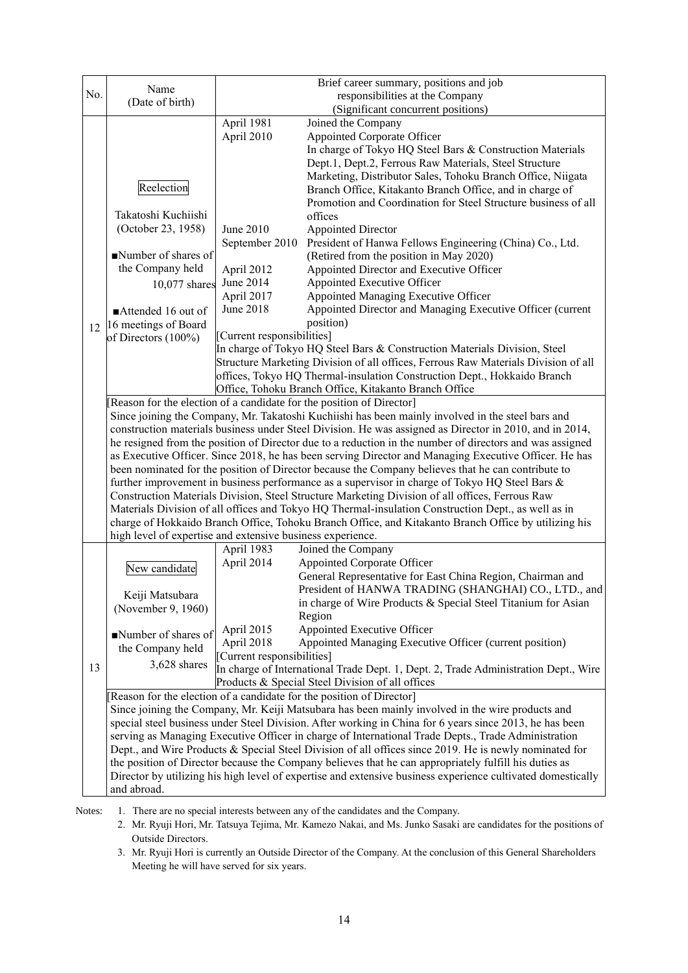|                                                                                                     | Name                                                                                                                                                                                                            |                                    | Brief career summary, positions and job                                                                     |  |
|-----------------------------------------------------------------------------------------------------|-----------------------------------------------------------------------------------------------------------------------------------------------------------------------------------------------------------------|------------------------------------|-------------------------------------------------------------------------------------------------------------|--|
| No.<br>responsibilities at the Company<br>(Date of birth)                                           |                                                                                                                                                                                                                 |                                    |                                                                                                             |  |
|                                                                                                     |                                                                                                                                                                                                                 | (Significant concurrent positions) |                                                                                                             |  |
|                                                                                                     |                                                                                                                                                                                                                 | April 1981                         | Joined the Company                                                                                          |  |
|                                                                                                     |                                                                                                                                                                                                                 | April 2010                         | <b>Appointed Corporate Officer</b>                                                                          |  |
|                                                                                                     |                                                                                                                                                                                                                 |                                    | In charge of Tokyo HQ Steel Bars & Construction Materials                                                   |  |
|                                                                                                     |                                                                                                                                                                                                                 |                                    | Dept.1, Dept.2, Ferrous Raw Materials, Steel Structure                                                      |  |
|                                                                                                     |                                                                                                                                                                                                                 |                                    | Marketing, Distributor Sales, Tohoku Branch Office, Niigata                                                 |  |
|                                                                                                     | Reelection                                                                                                                                                                                                      |                                    | Branch Office, Kitakanto Branch Office, and in charge of                                                    |  |
|                                                                                                     | Takatoshi Kuchiishi                                                                                                                                                                                             |                                    | Promotion and Coordination for Steel Structure business of all                                              |  |
|                                                                                                     | (October 23, 1958)                                                                                                                                                                                              | June 2010                          | offices                                                                                                     |  |
|                                                                                                     |                                                                                                                                                                                                                 | September 2010                     | <b>Appointed Director</b><br>President of Hanwa Fellows Engineering (China) Co., Ltd.                       |  |
|                                                                                                     | Number of shares of                                                                                                                                                                                             |                                    | (Retired from the position in May 2020)                                                                     |  |
|                                                                                                     | the Company held                                                                                                                                                                                                | April 2012                         | Appointed Director and Executive Officer                                                                    |  |
|                                                                                                     |                                                                                                                                                                                                                 | June 2014                          | Appointed Executive Officer                                                                                 |  |
|                                                                                                     | 10,077 shares                                                                                                                                                                                                   | April 2017                         | Appointed Managing Executive Officer                                                                        |  |
|                                                                                                     | Attended 16 out of                                                                                                                                                                                              | June 2018                          | Appointed Director and Managing Executive Officer (current                                                  |  |
|                                                                                                     | 16 meetings of Board                                                                                                                                                                                            |                                    | position)                                                                                                   |  |
| 12                                                                                                  | of Directors (100%)                                                                                                                                                                                             | [Current responsibilities]         |                                                                                                             |  |
|                                                                                                     |                                                                                                                                                                                                                 |                                    | In charge of Tokyo HQ Steel Bars & Construction Materials Division, Steel                                   |  |
|                                                                                                     |                                                                                                                                                                                                                 |                                    | Structure Marketing Division of all offices, Ferrous Raw Materials Division of all                          |  |
|                                                                                                     |                                                                                                                                                                                                                 |                                    | offices, Tokyo HQ Thermal-insulation Construction Dept., Hokkaido Branch                                    |  |
|                                                                                                     |                                                                                                                                                                                                                 |                                    | Office, Tohoku Branch Office, Kitakanto Branch Office                                                       |  |
|                                                                                                     | [Reason for the election of a candidate for the position of Director]                                                                                                                                           |                                    |                                                                                                             |  |
|                                                                                                     |                                                                                                                                                                                                                 |                                    | Since joining the Company, Mr. Takatoshi Kuchiishi has been mainly involved in the steel bars and           |  |
|                                                                                                     |                                                                                                                                                                                                                 |                                    | construction materials business under Steel Division. He was assigned as Director in 2010, and in 2014,     |  |
|                                                                                                     |                                                                                                                                                                                                                 |                                    | he resigned from the position of Director due to a reduction in the number of directors and was assigned    |  |
|                                                                                                     |                                                                                                                                                                                                                 |                                    | as Executive Officer. Since 2018, he has been serving Director and Managing Executive Officer. He has       |  |
|                                                                                                     |                                                                                                                                                                                                                 |                                    | been nominated for the position of Director because the Company believes that he can contribute to          |  |
|                                                                                                     |                                                                                                                                                                                                                 |                                    | further improvement in business performance as a supervisor in charge of Tokyo HQ Steel Bars &              |  |
|                                                                                                     |                                                                                                                                                                                                                 |                                    | Construction Materials Division, Steel Structure Marketing Division of all offices, Ferrous Raw             |  |
| Materials Division of all offices and Tokyo HQ Thermal-insulation Construction Dept., as well as in |                                                                                                                                                                                                                 |                                    |                                                                                                             |  |
|                                                                                                     | charge of Hokkaido Branch Office, Tohoku Branch Office, and Kitakanto Branch Office by utilizing his<br>high level of expertise and extensive business experience.                                              |                                    |                                                                                                             |  |
|                                                                                                     |                                                                                                                                                                                                                 | April 1983                         | Joined the Company                                                                                          |  |
|                                                                                                     |                                                                                                                                                                                                                 | April 2014                         | <b>Appointed Corporate Officer</b>                                                                          |  |
|                                                                                                     | New candidate                                                                                                                                                                                                   |                                    | General Representative for East China Region, Chairman and                                                  |  |
|                                                                                                     |                                                                                                                                                                                                                 |                                    | President of HANWA TRADING (SHANGHAI) CO., LTD., and                                                        |  |
|                                                                                                     | Keiji Matsubara                                                                                                                                                                                                 |                                    | in charge of Wire Products & Special Steel Titanium for Asian                                               |  |
|                                                                                                     | (November 9, 1960)                                                                                                                                                                                              |                                    | Region                                                                                                      |  |
|                                                                                                     | Number of shares of                                                                                                                                                                                             | April 2015                         | Appointed Executive Officer                                                                                 |  |
|                                                                                                     | the Company held                                                                                                                                                                                                | April 2018                         | Appointed Managing Executive Officer (current position)                                                     |  |
|                                                                                                     |                                                                                                                                                                                                                 | [Current responsibilities]         |                                                                                                             |  |
| 13                                                                                                  | 3,628 shares                                                                                                                                                                                                    |                                    | In charge of International Trade Dept. 1, Dept. 2, Trade Administration Dept., Wire                         |  |
|                                                                                                     |                                                                                                                                                                                                                 |                                    | Products & Special Steel Division of all offices                                                            |  |
|                                                                                                     |                                                                                                                                                                                                                 |                                    | Reason for the election of a candidate for the position of Director]                                        |  |
|                                                                                                     |                                                                                                                                                                                                                 |                                    | Since joining the Company, Mr. Keiji Matsubara has been mainly involved in the wire products and            |  |
|                                                                                                     | special steel business under Steel Division. After working in China for 6 years since 2013, he has been                                                                                                         |                                    |                                                                                                             |  |
|                                                                                                     |                                                                                                                                                                                                                 |                                    | serving as Managing Executive Officer in charge of International Trade Depts., Trade Administration         |  |
|                                                                                                     | Dept., and Wire Products & Special Steel Division of all offices since 2019. He is newly nominated for<br>the position of Director because the Company believes that he can appropriately fulfill his duties as |                                    |                                                                                                             |  |
|                                                                                                     |                                                                                                                                                                                                                 |                                    | Director by utilizing his high level of expertise and extensive business experience cultivated domestically |  |
|                                                                                                     | and abroad.                                                                                                                                                                                                     |                                    |                                                                                                             |  |
|                                                                                                     |                                                                                                                                                                                                                 |                                    |                                                                                                             |  |

Notes: 1. There are no special interests between any of the candidates and the Company.

2. Mr. Ryuji Hori, Mr. Tatsuya Tejima, Mr. Kamezo Nakai, and Ms. Junko Sasaki are candidates for the positions of Outside Directors.

3. Mr. Ryuji Hori is currently an Outside Director of the Company. At the conclusion of this General Shareholders Meeting he will have served for six years.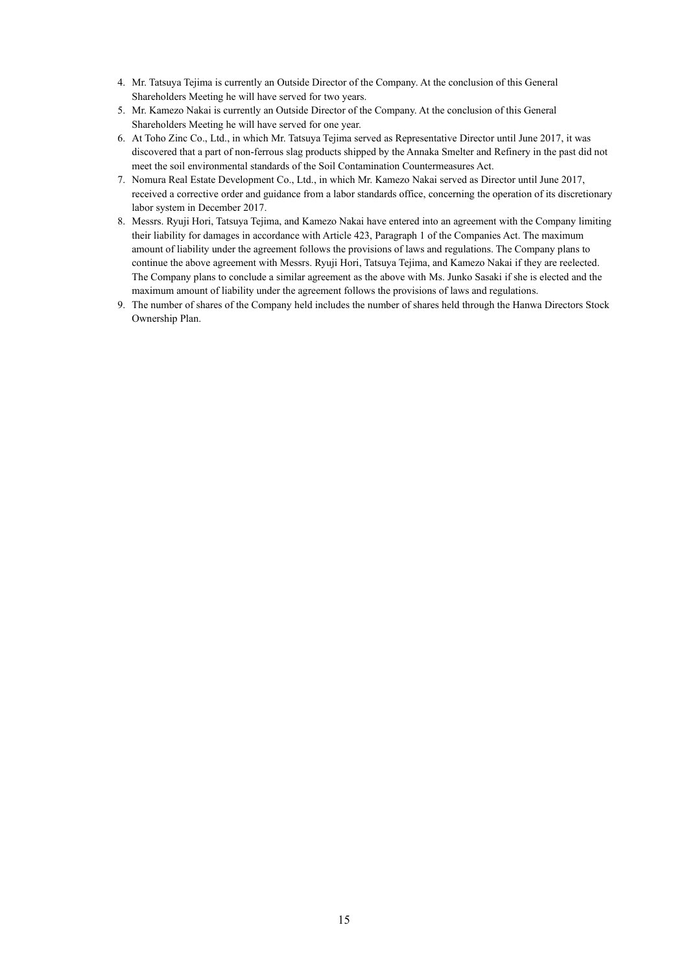- 4. Mr. Tatsuya Tejima is currently an Outside Director of the Company. At the conclusion of this General Shareholders Meeting he will have served for two years.
- 5. Mr. Kamezo Nakai is currently an Outside Director of the Company. At the conclusion of this General Shareholders Meeting he will have served for one year.
- 6. At Toho Zinc Co., Ltd., in which Mr. Tatsuya Tejima served as Representative Director until June 2017, it was discovered that a part of non-ferrous slag products shipped by the Annaka Smelter and Refinery in the past did not meet the soil environmental standards of the Soil Contamination Countermeasures Act.
- 7. Nomura Real Estate Development Co., Ltd., in which Mr. Kamezo Nakai served as Director until June 2017, received a corrective order and guidance from a labor standards office, concerning the operation of its discretionary labor system in December 2017.
- 8. Messrs. Ryuji Hori, Tatsuya Tejima, and Kamezo Nakai have entered into an agreement with the Company limiting their liability for damages in accordance with Article 423, Paragraph 1 of the Companies Act. The maximum amount of liability under the agreement follows the provisions of laws and regulations. The Company plans to continue the above agreement with Messrs. Ryuji Hori, Tatsuya Tejima, and Kamezo Nakai if they are reelected. The Company plans to conclude a similar agreement as the above with Ms. Junko Sasaki if she is elected and the maximum amount of liability under the agreement follows the provisions of laws and regulations.
- 9. The number of shares of the Company held includes the number of shares held through the Hanwa Directors Stock Ownership Plan.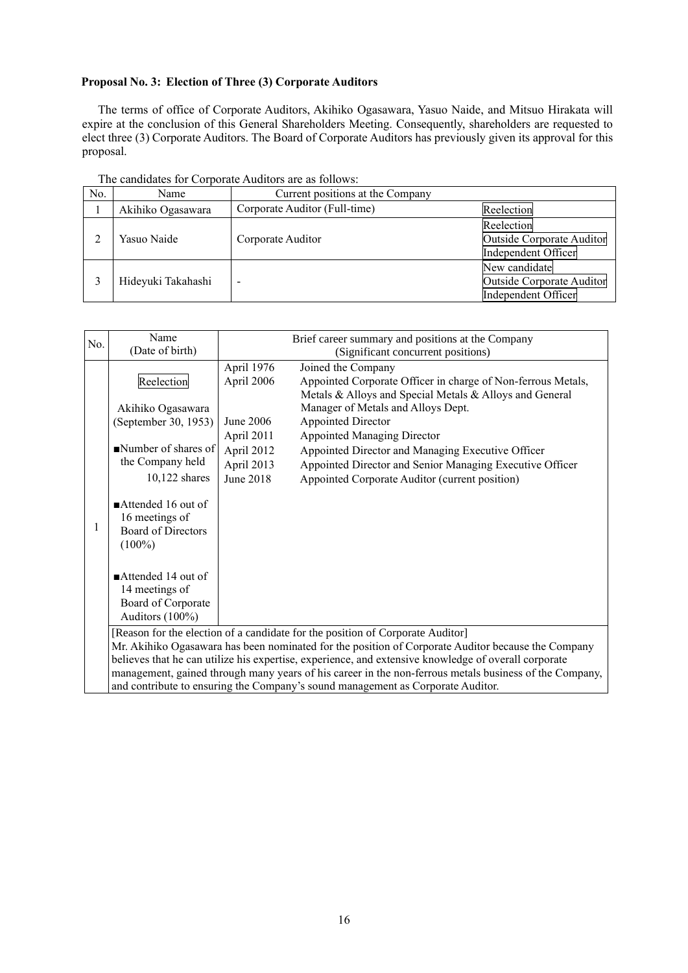## **Proposal No. 3: Election of Three (3) Corporate Auditors**

The terms of office of Corporate Auditors, Akihiko Ogasawara, Yasuo Naide, and Mitsuo Hirakata will expire at the conclusion of this General Shareholders Meeting. Consequently, shareholders are requested to elect three (3) Corporate Auditors. The Board of Corporate Auditors has previously given its approval for this proposal.

| No. | Name               | Current positions at the Company |                                                                   |
|-----|--------------------|----------------------------------|-------------------------------------------------------------------|
|     | Akihiko Ogasawara  | Corporate Auditor (Full-time)    | Reelection                                                        |
|     | Yasuo Naide        | Corporate Auditor                | Reelection<br>Outside Corporate Auditor<br>Independent Officer    |
|     | Hideyuki Takahashi |                                  | New candidate<br>Outside Corporate Auditor<br>Independent Officer |

The candidates for Corporate Auditors are as follows:

| No. | Name                                                                                                   | Brief career summary and positions at the Company                          |  |  |  |
|-----|--------------------------------------------------------------------------------------------------------|----------------------------------------------------------------------------|--|--|--|
|     | (Date of birth)                                                                                        | (Significant concurrent positions)                                         |  |  |  |
|     |                                                                                                        | April 1976<br>Joined the Company                                           |  |  |  |
|     | Reelection                                                                                             | Appointed Corporate Officer in charge of Non-ferrous Metals,<br>April 2006 |  |  |  |
|     |                                                                                                        | Metals & Alloys and Special Metals & Alloys and General                    |  |  |  |
|     | Akihiko Ogasawara                                                                                      | Manager of Metals and Alloys Dept.                                         |  |  |  |
|     | (September 30, 1953)                                                                                   | June 2006<br>Appointed Director                                            |  |  |  |
|     |                                                                                                        |                                                                            |  |  |  |
|     |                                                                                                        | April 2011<br><b>Appointed Managing Director</b>                           |  |  |  |
|     | Number of shares of                                                                                    | April 2012<br>Appointed Director and Managing Executive Officer            |  |  |  |
|     | the Company held                                                                                       | April 2013<br>Appointed Director and Senior Managing Executive Officer     |  |  |  |
|     | 10,122 shares                                                                                          | <b>June 2018</b><br>Appointed Corporate Auditor (current position)         |  |  |  |
|     |                                                                                                        |                                                                            |  |  |  |
|     | $\blacksquare$ Attended 16 out of                                                                      |                                                                            |  |  |  |
|     | 16 meetings of                                                                                         |                                                                            |  |  |  |
|     | <b>Board of Directors</b>                                                                              |                                                                            |  |  |  |
|     | $(100\%)$                                                                                              |                                                                            |  |  |  |
|     |                                                                                                        |                                                                            |  |  |  |
|     | $\blacksquare$ Attended 14 out of                                                                      |                                                                            |  |  |  |
|     | 14 meetings of                                                                                         |                                                                            |  |  |  |
|     | Board of Corporate                                                                                     |                                                                            |  |  |  |
|     | Auditors (100%)                                                                                        |                                                                            |  |  |  |
|     |                                                                                                        |                                                                            |  |  |  |
|     | [Reason for the election of a candidate for the position of Corporate Auditor]                         |                                                                            |  |  |  |
|     | Mr. Akihiko Ogasawara has been nominated for the position of Corporate Auditor because the Company     |                                                                            |  |  |  |
|     | believes that he can utilize his expertise, experience, and extensive knowledge of overall corporate   |                                                                            |  |  |  |
|     | management, gained through many years of his career in the non-ferrous metals business of the Company, |                                                                            |  |  |  |
|     | and contribute to ensuring the Company's sound management as Corporate Auditor.                        |                                                                            |  |  |  |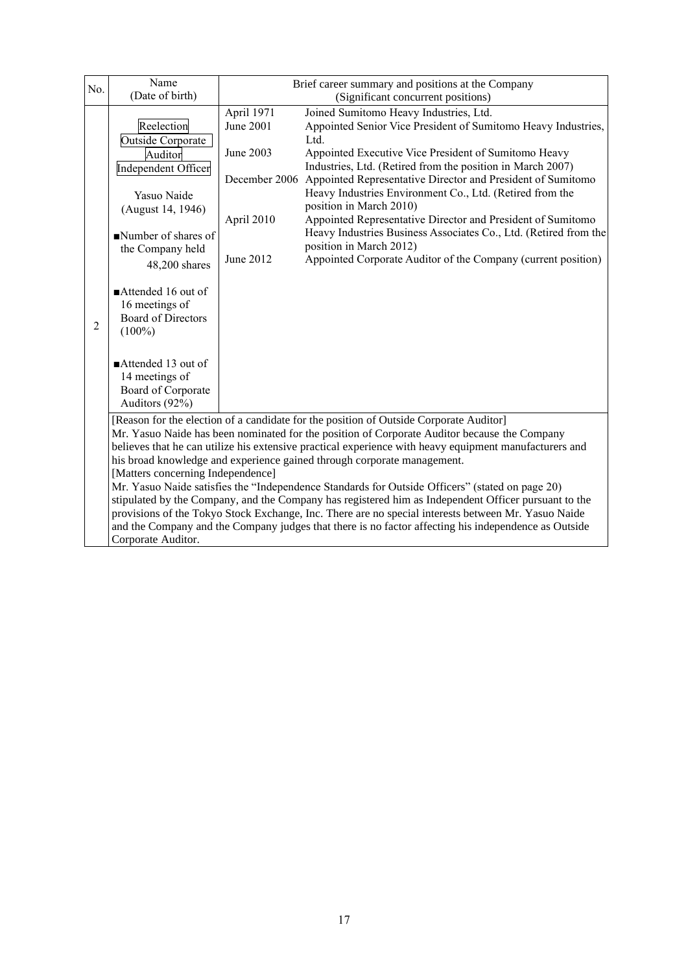| No.                                                                                                  | Name<br>(Date of birth)                                                                                                                                                                | Brief career summary and positions at the Company<br>(Significant concurrent positions) |                                                                                                     |  |
|------------------------------------------------------------------------------------------------------|----------------------------------------------------------------------------------------------------------------------------------------------------------------------------------------|-----------------------------------------------------------------------------------------|-----------------------------------------------------------------------------------------------------|--|
|                                                                                                      |                                                                                                                                                                                        | April 1971<br>Joined Sumitomo Heavy Industries, Ltd.                                    |                                                                                                     |  |
|                                                                                                      | Reelection                                                                                                                                                                             | June 2001                                                                               | Appointed Senior Vice President of Sumitomo Heavy Industries,                                       |  |
|                                                                                                      | Outside Corporate                                                                                                                                                                      |                                                                                         | Ltd.                                                                                                |  |
|                                                                                                      | Auditor                                                                                                                                                                                | June 2003                                                                               | Appointed Executive Vice President of Sumitomo Heavy                                                |  |
|                                                                                                      | Independent Officer                                                                                                                                                                    |                                                                                         | Industries, Ltd. (Retired from the position in March 2007)                                          |  |
|                                                                                                      |                                                                                                                                                                                        | December 2006                                                                           | Appointed Representative Director and President of Sumitomo                                         |  |
|                                                                                                      | Yasuo Naide                                                                                                                                                                            |                                                                                         | Heavy Industries Environment Co., Ltd. (Retired from the                                            |  |
|                                                                                                      | (August 14, 1946)                                                                                                                                                                      |                                                                                         | position in March 2010)                                                                             |  |
|                                                                                                      |                                                                                                                                                                                        | April 2010                                                                              | Appointed Representative Director and President of Sumitomo                                         |  |
|                                                                                                      | Number of shares of                                                                                                                                                                    |                                                                                         | Heavy Industries Business Associates Co., Ltd. (Retired from the                                    |  |
|                                                                                                      | the Company held                                                                                                                                                                       |                                                                                         | position in March 2012)                                                                             |  |
|                                                                                                      | 48,200 shares                                                                                                                                                                          | June 2012                                                                               | Appointed Corporate Auditor of the Company (current position)                                       |  |
|                                                                                                      |                                                                                                                                                                                        |                                                                                         |                                                                                                     |  |
|                                                                                                      | Attended 16 out of                                                                                                                                                                     |                                                                                         |                                                                                                     |  |
|                                                                                                      | 16 meetings of                                                                                                                                                                         |                                                                                         |                                                                                                     |  |
| $\overline{2}$                                                                                       | <b>Board of Directors</b>                                                                                                                                                              |                                                                                         |                                                                                                     |  |
|                                                                                                      | $(100\%)$                                                                                                                                                                              |                                                                                         |                                                                                                     |  |
|                                                                                                      |                                                                                                                                                                                        |                                                                                         |                                                                                                     |  |
|                                                                                                      | $\blacksquare$ Attended 13 out of                                                                                                                                                      |                                                                                         |                                                                                                     |  |
|                                                                                                      | 14 meetings of                                                                                                                                                                         |                                                                                         |                                                                                                     |  |
|                                                                                                      | Board of Corporate<br>Auditors (92%)                                                                                                                                                   |                                                                                         |                                                                                                     |  |
|                                                                                                      |                                                                                                                                                                                        |                                                                                         |                                                                                                     |  |
|                                                                                                      | [Reason for the election of a candidate for the position of Outside Corporate Auditor]<br>Mr. Yasuo Naide has been nominated for the position of Corporate Auditor because the Company |                                                                                         |                                                                                                     |  |
|                                                                                                      | believes that he can utilize his extensive practical experience with heavy equipment manufacturers and                                                                                 |                                                                                         |                                                                                                     |  |
|                                                                                                      | his broad knowledge and experience gained through corporate management.                                                                                                                |                                                                                         |                                                                                                     |  |
|                                                                                                      | [Matters concerning Independence]                                                                                                                                                      |                                                                                         |                                                                                                     |  |
|                                                                                                      | Mr. Yasuo Naide satisfies the "Independence Standards for Outside Officers" (stated on page 20)                                                                                        |                                                                                         |                                                                                                     |  |
|                                                                                                      | stipulated by the Company, and the Company has registered him as Independent Officer pursuant to the                                                                                   |                                                                                         |                                                                                                     |  |
|                                                                                                      |                                                                                                                                                                                        |                                                                                         | provisions of the Tokyo Stock Exchange, Inc. There are no special interests between Mr. Yasuo Naide |  |
| and the Company and the Company judges that there is no factor affecting his independence as Outside |                                                                                                                                                                                        |                                                                                         |                                                                                                     |  |
|                                                                                                      | Corporate Auditor.                                                                                                                                                                     |                                                                                         |                                                                                                     |  |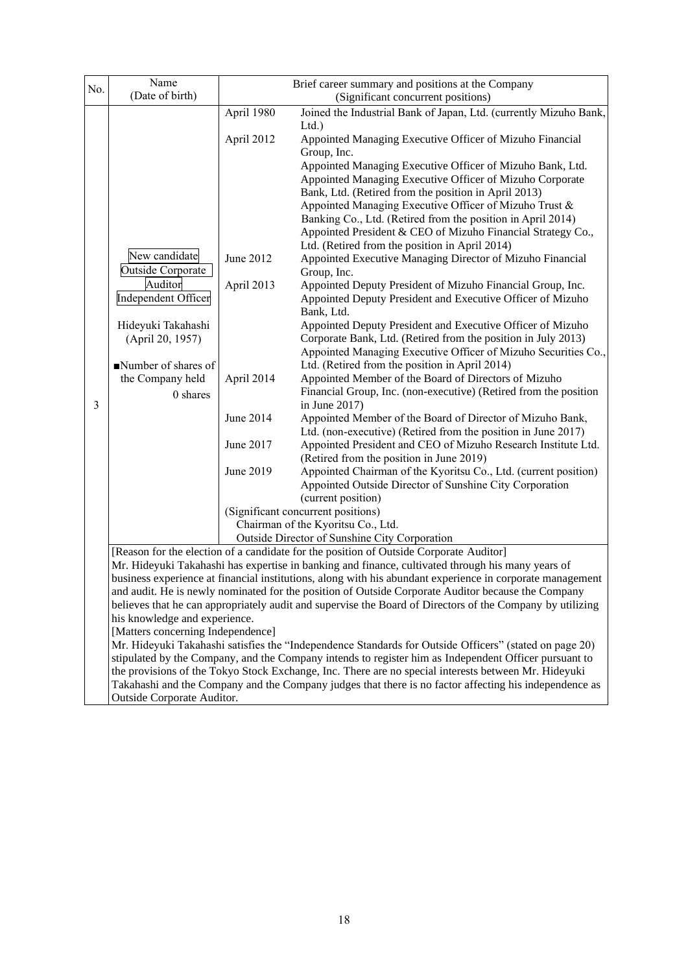| No.                                                                                                                                                                                                                                                                                                                                                                                                                                                                                                                                                                                                                   | Name<br>(Date of birth)                                                                                                                                                                                                                      | Brief career summary and positions at the Company<br>(Significant concurrent positions) |                                                                                                                                 |  |
|-----------------------------------------------------------------------------------------------------------------------------------------------------------------------------------------------------------------------------------------------------------------------------------------------------------------------------------------------------------------------------------------------------------------------------------------------------------------------------------------------------------------------------------------------------------------------------------------------------------------------|----------------------------------------------------------------------------------------------------------------------------------------------------------------------------------------------------------------------------------------------|-----------------------------------------------------------------------------------------|---------------------------------------------------------------------------------------------------------------------------------|--|
|                                                                                                                                                                                                                                                                                                                                                                                                                                                                                                                                                                                                                       |                                                                                                                                                                                                                                              | April 1980                                                                              | Joined the Industrial Bank of Japan, Ltd. (currently Mizuho Bank,                                                               |  |
|                                                                                                                                                                                                                                                                                                                                                                                                                                                                                                                                                                                                                       |                                                                                                                                                                                                                                              | April 2012                                                                              | Ltd.<br>Appointed Managing Executive Officer of Mizuho Financial                                                                |  |
|                                                                                                                                                                                                                                                                                                                                                                                                                                                                                                                                                                                                                       |                                                                                                                                                                                                                                              |                                                                                         | Group, Inc.                                                                                                                     |  |
|                                                                                                                                                                                                                                                                                                                                                                                                                                                                                                                                                                                                                       |                                                                                                                                                                                                                                              |                                                                                         | Appointed Managing Executive Officer of Mizuho Bank, Ltd.                                                                       |  |
|                                                                                                                                                                                                                                                                                                                                                                                                                                                                                                                                                                                                                       |                                                                                                                                                                                                                                              |                                                                                         | Appointed Managing Executive Officer of Mizuho Corporate<br>Bank, Ltd. (Retired from the position in April 2013)                |  |
|                                                                                                                                                                                                                                                                                                                                                                                                                                                                                                                                                                                                                       |                                                                                                                                                                                                                                              |                                                                                         | Appointed Managing Executive Officer of Mizuho Trust &                                                                          |  |
|                                                                                                                                                                                                                                                                                                                                                                                                                                                                                                                                                                                                                       |                                                                                                                                                                                                                                              |                                                                                         | Banking Co., Ltd. (Retired from the position in April 2014)                                                                     |  |
|                                                                                                                                                                                                                                                                                                                                                                                                                                                                                                                                                                                                                       |                                                                                                                                                                                                                                              |                                                                                         | Appointed President & CEO of Mizuho Financial Strategy Co.,<br>Ltd. (Retired from the position in April 2014)                   |  |
|                                                                                                                                                                                                                                                                                                                                                                                                                                                                                                                                                                                                                       | New candidate                                                                                                                                                                                                                                | June 2012                                                                               | Appointed Executive Managing Director of Mizuho Financial                                                                       |  |
|                                                                                                                                                                                                                                                                                                                                                                                                                                                                                                                                                                                                                       | Outside Corporate<br>Auditor                                                                                                                                                                                                                 | April 2013                                                                              | Group, Inc.<br>Appointed Deputy President of Mizuho Financial Group, Inc.                                                       |  |
|                                                                                                                                                                                                                                                                                                                                                                                                                                                                                                                                                                                                                       | Independent Officer                                                                                                                                                                                                                          |                                                                                         | Appointed Deputy President and Executive Officer of Mizuho<br>Bank, Ltd.                                                        |  |
|                                                                                                                                                                                                                                                                                                                                                                                                                                                                                                                                                                                                                       | Hideyuki Takahashi                                                                                                                                                                                                                           |                                                                                         | Appointed Deputy President and Executive Officer of Mizuho                                                                      |  |
|                                                                                                                                                                                                                                                                                                                                                                                                                                                                                                                                                                                                                       | (April 20, 1957)                                                                                                                                                                                                                             |                                                                                         | Corporate Bank, Ltd. (Retired from the position in July 2013)<br>Appointed Managing Executive Officer of Mizuho Securities Co., |  |
|                                                                                                                                                                                                                                                                                                                                                                                                                                                                                                                                                                                                                       | Number of shares of                                                                                                                                                                                                                          |                                                                                         | Ltd. (Retired from the position in April 2014)                                                                                  |  |
|                                                                                                                                                                                                                                                                                                                                                                                                                                                                                                                                                                                                                       | the Company held                                                                                                                                                                                                                             | April 2014                                                                              | Appointed Member of the Board of Directors of Mizuho                                                                            |  |
| 3                                                                                                                                                                                                                                                                                                                                                                                                                                                                                                                                                                                                                     | 0 shares                                                                                                                                                                                                                                     |                                                                                         | Financial Group, Inc. (non-executive) (Retired from the position<br>in June 2017)                                               |  |
|                                                                                                                                                                                                                                                                                                                                                                                                                                                                                                                                                                                                                       |                                                                                                                                                                                                                                              | June 2014                                                                               | Appointed Member of the Board of Director of Mizuho Bank,                                                                       |  |
|                                                                                                                                                                                                                                                                                                                                                                                                                                                                                                                                                                                                                       |                                                                                                                                                                                                                                              | June 2017                                                                               | Ltd. (non-executive) (Retired from the position in June 2017)<br>Appointed President and CEO of Mizuho Research Institute Ltd.  |  |
|                                                                                                                                                                                                                                                                                                                                                                                                                                                                                                                                                                                                                       |                                                                                                                                                                                                                                              |                                                                                         | (Retired from the position in June 2019)                                                                                        |  |
|                                                                                                                                                                                                                                                                                                                                                                                                                                                                                                                                                                                                                       |                                                                                                                                                                                                                                              | June 2019                                                                               | Appointed Chairman of the Kyoritsu Co., Ltd. (current position)                                                                 |  |
|                                                                                                                                                                                                                                                                                                                                                                                                                                                                                                                                                                                                                       |                                                                                                                                                                                                                                              |                                                                                         | Appointed Outside Director of Sunshine City Corporation<br>(current position)                                                   |  |
|                                                                                                                                                                                                                                                                                                                                                                                                                                                                                                                                                                                                                       |                                                                                                                                                                                                                                              |                                                                                         | (Significant concurrent positions)                                                                                              |  |
|                                                                                                                                                                                                                                                                                                                                                                                                                                                                                                                                                                                                                       |                                                                                                                                                                                                                                              |                                                                                         | Chairman of the Kyoritsu Co., Ltd.                                                                                              |  |
| Outside Director of Sunshine City Corporation<br>[Reason for the election of a candidate for the position of Outside Corporate Auditor]                                                                                                                                                                                                                                                                                                                                                                                                                                                                               |                                                                                                                                                                                                                                              |                                                                                         |                                                                                                                                 |  |
|                                                                                                                                                                                                                                                                                                                                                                                                                                                                                                                                                                                                                       | Mr. Hideyuki Takahashi has expertise in banking and finance, cultivated through his many years of                                                                                                                                            |                                                                                         |                                                                                                                                 |  |
| business experience at financial institutions, along with his abundant experience in corporate management<br>and audit. He is newly nominated for the position of Outside Corporate Auditor because the Company<br>believes that he can appropriately audit and supervise the Board of Directors of the Company by utilizing<br>his knowledge and experience.<br>[Matters concerning Independence]<br>Mr. Hideyuki Takahashi satisfies the "Independence Standards for Outside Officers" (stated on page 20)<br>stipulated by the Company, and the Company intends to register him as Independent Officer pursuant to |                                                                                                                                                                                                                                              |                                                                                         |                                                                                                                                 |  |
|                                                                                                                                                                                                                                                                                                                                                                                                                                                                                                                                                                                                                       |                                                                                                                                                                                                                                              |                                                                                         |                                                                                                                                 |  |
|                                                                                                                                                                                                                                                                                                                                                                                                                                                                                                                                                                                                                       |                                                                                                                                                                                                                                              |                                                                                         |                                                                                                                                 |  |
|                                                                                                                                                                                                                                                                                                                                                                                                                                                                                                                                                                                                                       |                                                                                                                                                                                                                                              |                                                                                         |                                                                                                                                 |  |
|                                                                                                                                                                                                                                                                                                                                                                                                                                                                                                                                                                                                                       |                                                                                                                                                                                                                                              |                                                                                         |                                                                                                                                 |  |
|                                                                                                                                                                                                                                                                                                                                                                                                                                                                                                                                                                                                                       | the provisions of the Tokyo Stock Exchange, Inc. There are no special interests between Mr. Hideyuki<br>Takahashi and the Company and the Company judges that there is no factor affecting his independence as<br>Outside Corporate Auditor. |                                                                                         |                                                                                                                                 |  |
|                                                                                                                                                                                                                                                                                                                                                                                                                                                                                                                                                                                                                       |                                                                                                                                                                                                                                              |                                                                                         |                                                                                                                                 |  |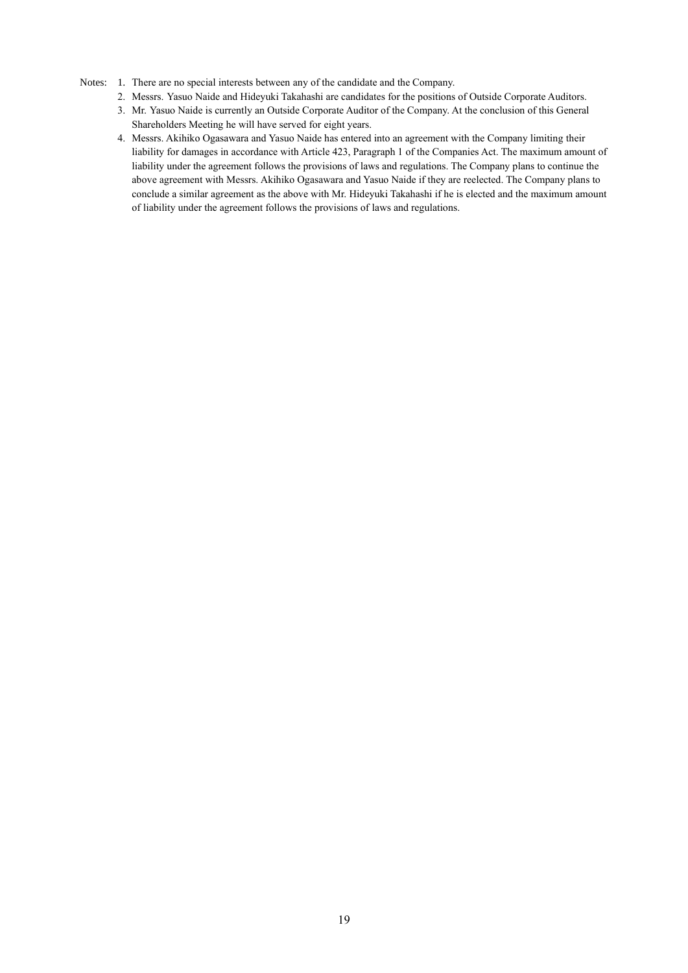#### Notes: 1. There are no special interests between any of the candidate and the Company.

- 2. Messrs. Yasuo Naide and Hideyuki Takahashi are candidates for the positions of Outside Corporate Auditors.
- 3. Mr. Yasuo Naide is currently an Outside Corporate Auditor of the Company. At the conclusion of this General Shareholders Meeting he will have served for eight years.
- 4. Messrs. Akihiko Ogasawara and Yasuo Naide has entered into an agreement with the Company limiting their liability for damages in accordance with Article 423, Paragraph 1 of the Companies Act. The maximum amount of liability under the agreement follows the provisions of laws and regulations. The Company plans to continue the above agreement with Messrs. Akihiko Ogasawara and Yasuo Naide if they are reelected. The Company plans to conclude a similar agreement as the above with Mr. Hideyuki Takahashi if he is elected and the maximum amount of liability under the agreement follows the provisions of laws and regulations.